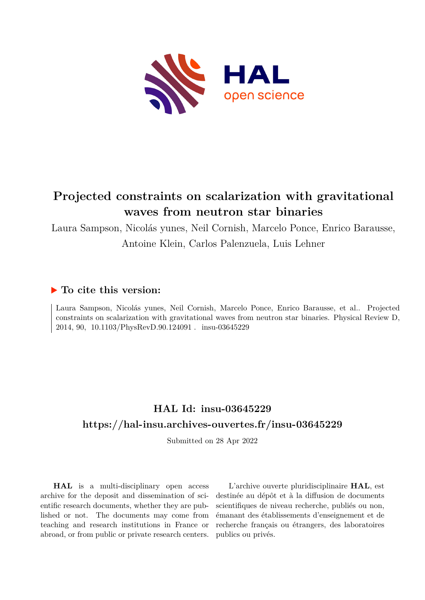

# **Projected constraints on scalarization with gravitational waves from neutron star binaries**

Laura Sampson, Nicolás yunes, Neil Cornish, Marcelo Ponce, Enrico Barausse,

Antoine Klein, Carlos Palenzuela, Luis Lehner

## **To cite this version:**

Laura Sampson, Nicolás yunes, Neil Cornish, Marcelo Ponce, Enrico Barausse, et al.. Projected constraints on scalarization with gravitational waves from neutron star binaries. Physical Review D, 2014, 90, 10.1103/PhysRevD.90.124091. insu-03645229

## **HAL Id: insu-03645229 <https://hal-insu.archives-ouvertes.fr/insu-03645229>**

Submitted on 28 Apr 2022

**HAL** is a multi-disciplinary open access archive for the deposit and dissemination of scientific research documents, whether they are published or not. The documents may come from teaching and research institutions in France or abroad, or from public or private research centers.

L'archive ouverte pluridisciplinaire **HAL**, est destinée au dépôt et à la diffusion de documents scientifiques de niveau recherche, publiés ou non, émanant des établissements d'enseignement et de recherche français ou étrangers, des laboratoires publics ou privés.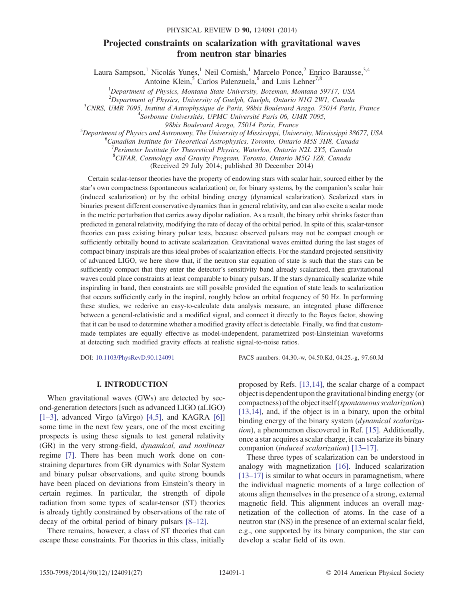## Projected constraints on scalarization with gravitational waves from neutron star binaries

Laura Sampson,<sup>1</sup> Nicolás Yunes,<sup>1</sup> Neil Cornish,<sup>1</sup> Marcelo Ponce,<sup>2</sup> Enrico Barausse,<sup>3,4</sup> Antoine Klein, $5$  Carlos Palenzuela, $6$  and Luis Lehner<sup>7,8</sup>

<sup>1</sup>Department of Physics, Montana State University, Bozeman, Montana 59717, USA

<sup>2</sup>Department of Physics, University of Guelph, Guelph, Ontario N1G 2W1, Canada<sup>3</sup>CNPS, *UMP* 7005, Institut d'Astrophysique de Paris, 08bis Poulouged Arges, 75014 Paris

 ${}^{3}$ CNRS, UMR 7095, Institut d'Astrophysique de Paris, 98bis Boulevard Arago, 75014 Paris, France

 $^4$ Sorbonne Universités, UPMC Université Paris 06, UMR 7095,

98bis Boulevard Arago, 75014 Paris, France<br>Spangytmant of Physics and Astronomy. The University of Mississippi University

Department of Physics and Astronomy, The University of Mississippi, University, Mississippi 38677, USA<br>6 Sanadian Institute for Theoretical Astronomics, Towarte, Ontario M5S, 2H8, Canada

 ${}^6$ Canadian Institute for Theoretical Astrophysics, Toronto, Ontario M5S 3H8, Canada

 $7$ Perimeter Institute for Theoretical Physics, Waterloo, Ontario N2L 2Y5, Canada

<sup>8</sup>CIFAR, Cosmology and Gravity Program, Toronto, Ontario M5G 1Z8, Canada

(Received 29 July 2014; published 30 December 2014)

Certain scalar-tensor theories have the property of endowing stars with scalar hair, sourced either by the star's own compactness (spontaneous scalarization) or, for binary systems, by the companion's scalar hair (induced scalarization) or by the orbital binding energy (dynamical scalarization). Scalarized stars in binaries present different conservative dynamics than in general relativity, and can also excite a scalar mode in the metric perturbation that carries away dipolar radiation. As a result, the binary orbit shrinks faster than predicted in general relativity, modifying the rate of decay of the orbital period. In spite of this, scalar-tensor theories can pass existing binary pulsar tests, because observed pulsars may not be compact enough or sufficiently orbitally bound to activate scalarization. Gravitational waves emitted during the last stages of compact binary inspirals are thus ideal probes of scalarization effects. For the standard projected sensitivity of advanced LIGO, we here show that, if the neutron star equation of state is such that the stars can be sufficiently compact that they enter the detector's sensitivity band already scalarized, then gravitational waves could place constraints at least comparable to binary pulsars. If the stars dynamically scalarize while inspiraling in band, then constraints are still possible provided the equation of state leads to scalarization that occurs sufficiently early in the inspiral, roughly below an orbital frequency of 50 Hz. In performing these studies, we rederive an easy-to-calculate data analysis measure, an integrated phase difference between a general-relativistic and a modified signal, and connect it directly to the Bayes factor, showing that it can be used to determine whether a modified gravity effect is detectable. Finally, we find that custommade templates are equally effective as model-independent, parametrized post-Einsteinian waveforms at detecting such modified gravity effects at realistic signal-to-noise ratios.

DOI: [10.1103/PhysRevD.90.124091](http://dx.doi.org/10.1103/PhysRevD.90.124091) PACS numbers: 04.30.-w, 04.50.Kd, 04.25.-g, 97.60.Jd

### I. INTRODUCTION

When gravitational waves (GWs) are detected by second-generation detectors [such as advanced LIGO (aLIGO)  $[1-3]$ , advanced Virgo (aVirgo)  $[4,5]$ , and KAGRA  $[6]$ some time in the next few years, one of the most exciting prospects is using these signals to test general relativity (GR) in the very strong-field, dynamical, and nonlinear regime [7]. There has been much work done on constraining departures from GR dynamics with Solar System and binary pulsar observations, and quite strong bounds have been placed on deviations from Einstein's theory in certain regimes. In particular, the strength of dipole radiation from some types of scalar-tensor (ST) theories is already tightly constrained by observations of the rate of decay of the orbital period of binary pulsars [8–12].

There remains, however, a class of ST theories that can escape these constraints. For theories in this class, initially

proposed by Refs. [13,14], the scalar charge of a compact object is dependent upon the gravitational binding energy (or compactness) of the object itself (*spontaneous scalarization*) [13,14], and, if the object is in a binary, upon the orbital binding energy of the binary system (dynamical scalarization), a phenomenon discovered in Ref. [15]. Additionally, once a star acquires a scalar charge, it can scalarize its binary companion (induced scalarization) [13–17].

These three types of scalarization can be understood in analogy with magnetization [16]. Induced scalarization [13–17] is similar to what occurs in paramagnetism, where the individual magnetic moments of a large collection of atoms align themselves in the presence of a strong, external magnetic field. This alignment induces an overall magnetization of the collection of atoms. In the case of a neutron star (NS) in the presence of an external scalar field, e.g., one supported by its binary companion, the star can develop a scalar field of its own.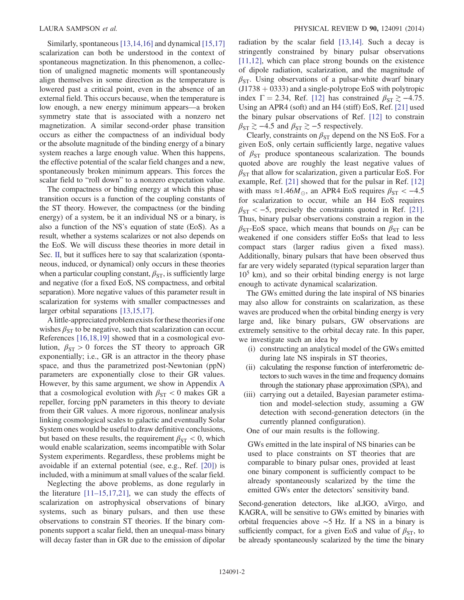Similarly, spontaneous [13,14,16] and dynamical [15,17] scalarization can both be understood in the context of spontaneous magnetization. In this phenomenon, a collection of unaligned magnetic moments will spontaneously align themselves in some direction as the temperature is lowered past a critical point, even in the absence of an external field. This occurs because, when the temperature is low enough, a new energy minimum appears—a broken symmetry state that is associated with a nonzero net magnetization. A similar second-order phase transition occurs as either the compactness of an individual body or the absolute magnitude of the binding energy of a binary system reaches a large enough value. When this happens, the effective potential of the scalar field changes and a new, spontaneously broken minimum appears. This forces the scalar field to "roll down" to a nonzero expectation value.

The compactness or binding energy at which this phase transition occurs is a function of the coupling constants of the ST theory. However, the compactness (or the binding energy) of a system, be it an individual NS or a binary, is also a function of the NS's equation of state (EoS). As a result, whether a systems scalarizes or not also depends on the EoS. We will discuss these theories in more detail in Sec. II, but it suffices here to say that scalarization (spontaneous, induced, or dynamical) only occurs in these theories when a particular coupling constant,  $\beta_{ST}$ , is sufficiently large and negative (for a fixed EoS, NS compactness, and orbital separation). More negative values of this parameter result in scalarization for systems with smaller compactnesses and larger orbital separations [13,15,17].

A little-appreciated problem exists for these theories if one wishes  $\beta_{ST}$  to be negative, such that scalarization can occur. References [16,18,19] showed that in a cosmological evolution,  $\beta_{ST} > 0$  forces the ST theory to approach GR exponentially; i.e., GR is an attractor in the theory phase space, and thus the parametrized post-Newtonian (ppN) parameters are exponentially close to their GR values. However, by this same argument, we show in Appendix A that a cosmological evolution with  $\beta_{ST} < 0$  makes GR a repeller, forcing ppN parameters in this theory to deviate from their GR values. A more rigorous, nonlinear analysis linking cosmological scales to galactic and eventually Solar System ones would be useful to draw definitive conclusions, but based on these results, the requirement  $\beta_{ST} < 0$ , which would enable scalarization, seems incompatible with Solar System experiments. Regardless, these problems might be avoidable if an external potential (see, e.g., Ref. [20]) is included, with a minimum at small values of the scalar field.

Neglecting the above problems, as done regularly in the literature  $[11–15,17,21]$ , we can study the effects of scalarization on astrophysical observations of binary systems, such as binary pulsars, and then use these observations to constrain ST theories. If the binary components support a scalar field, then an unequal-mass binary will decay faster than in GR due to the emission of dipolar radiation by the scalar field [13,14]. Such a decay is stringently constrained by binary pulsar observations [11,12], which can place strong bounds on the existence of dipole radiation, scalarization, and the magnitude of  $\beta_{ST}$ . Using observations of a pulsar-white dwarf binary  $($ J1738  $+$  0333 $)$  and a single-polytrope EoS with polytropic index  $\Gamma = 2.34$ , Ref. [12] has constrained  $\beta_{ST} \gtrsim -4.75$ . Using an APR4 (soft) and an H4 (stiff) EoS, Ref. [21] used the binary pulsar observations of Ref. [12] to constrain  $\beta_{ST} \gtrsim -4.5$  and  $\beta_{ST} \gtrsim -5$  respectively.

Clearly, constraints on  $\beta_{ST}$  depend on the NS EoS. For a given EoS, only certain sufficiently large, negative values of  $\beta_{ST}$  produce spontaneous scalarization. The bounds quoted above are roughly the least negative values of  $\beta_{ST}$  that allow for scalarization, given a particular EoS. For example, Ref. [21] showed that for the pulsar in Ref. [12] with mass  $\approx$ 1.46 $M_{\odot}$ , an APR4 EoS requires  $\beta_{ST} < -4.5$ for scalarization to occur, while an H4 EoS requires  $\beta_{ST} < -5$ , precisely the constraints quoted in Ref. [21]. Thus, binary pulsar observations constrain a region in the  $\beta_{ST}$ -EoS space, which means that bounds on  $\beta_{ST}$  can be weakened if one considers stiffer EoSs that lead to less compact stars (larger radius given a fixed mass). Additionally, binary pulsars that have been observed thus far are very widely separated (typical separation larger than  $10<sup>5</sup>$  km), and so their orbital binding energy is not large enough to activate dynamical scalarization.

The GWs emitted during the late inspiral of NS binaries may also allow for constraints on scalarization, as these waves are produced when the orbital binding energy is very large and, like binary pulsars, GW observations are extremely sensitive to the orbital decay rate. In this paper, we investigate such an idea by

- (i) constructing an analytical model of the GWs emitted during late NS inspirals in ST theories,
- (ii) calculating the response function of interferometric detectors to such waves in the time and frequency domains through the stationary phase approximation (SPA), and
- (iii) carrying out a detailed, Bayesian parameter estimation and model-selection study, assuming a GW detection with second-generation detectors (in the currently planned configuration).

One of our main results is the following.

GWs emitted in the late inspiral of NS binaries can be used to place constraints on ST theories that are comparable to binary pulsar ones, provided at least one binary component is sufficiently compact to be already spontaneously scalarized by the time the emitted GWs enter the detectors' sensitivity band.

Second-generation detectors, like aLIGO, aVirgo, and KAGRA, will be sensitive to GWs emitted by binaries with orbital frequencies above ∼5 Hz. If a NS in a binary is sufficiently compact, for a given EoS and value of  $\beta_{ST}$ , to be already spontaneously scalarized by the time the binary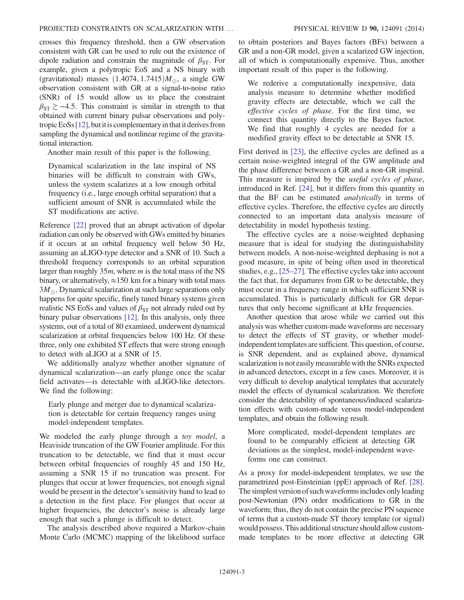crosses this frequency threshold, then a GW observation consistent with GR can be used to rule out the existence of dipole radiation and constrain the magnitude of  $\beta_{ST}$ . For example, given a polytropic EoS and a NS binary with (gravitational) masses  $(1.4074, 1.7415)M_{\odot}$ , a single GW observation consistent with GR at a signal-to-noise ratio (SNR) of 15 would allow us to place the constraint  $\beta_{ST} \gtrsim -4.5$ . This constraint is similar in strength to that obtained with current binary pulsar observations and polytropic EoSs [12], but it is complementary in that it derives from sampling the dynamical and nonlinear regime of the gravitational interaction.

Another main result of this paper is the following.

Dynamical scalarization in the late inspiral of NS binaries will be difficult to constrain with GWs, unless the system scalarizes at a low enough orbital frequency (i.e., large enough orbital separation) that a sufficient amount of SNR is accumulated while the ST modifications are active.

Reference [22] proved that an abrupt activation of dipolar radiation can only be observed with GWs emitted by binaries if it occurs at an orbital frequency well below 50 Hz, assuming an aLIGO-type detector and a SNR of 10. Such a threshold frequency corresponds to an orbital separation larger than roughly  $35m$ , where m is the total mass of the NS binary, or alternatively,  $\approx$ 150 km for a binary with total mass  $3M_{\odot}$ . Dynamical scalarization at such large separations only happens for quite specific, finely tuned binary systems given realistic NS EoSs and values of  $\beta_{ST}$  not already ruled out by binary pulsar observations [12]. In this analysis, only three systems, out of a total of 80 examined, underwent dynamical scalarization at orbital frequencies below 100 Hz. Of these three, only one exhibited ST effects that were strong enough to detect with aLIGO at a SNR of 15.

We additionally analyze whether another signature of dynamical scalarization—an early plunge once the scalar field activates—is detectable with aLIGO-like detectors. We find the following:

Early plunge and merger due to dynamical scalarization is detectable for certain frequency ranges using model-independent templates.

We modeled the early plunge through a toy model, a Heaviside truncation of the GW Fourier amplitude. For this truncation to be detectable, we find that it must occur between orbital frequencies of roughly 45 and 150 Hz, assuming a SNR 15 if no truncation was present. For plunges that occur at lower frequencies, not enough signal would be present in the detector's sensitivity band to lead to a detection in the first place. For plunges that occur at higher frequencies, the detector's noise is already large enough that such a plunge is difficult to detect.

The analysis described above required a Markov-chain Monte Carlo (MCMC) mapping of the likelihood surface to obtain posteriors and Bayes factors (BFs) between a GR and a non-GR model, given a scalarized GW injection, all of which is computationally expensive. Thus, another important result of this paper is the following.

We rederive a computationally inexpensive, data analysis measure to determine whether modified gravity effects are detectable, which we call the effective cycles of phase. For the first time, we connect this quantity directly to the Bayes factor. We find that roughly 4 cycles are needed for a modified gravity effect to be detectable at SNR 15.

First derived in [23], the effective cycles are defined as a certain noise-weighted integral of the GW amplitude and the phase difference between a GR and a non-GR inspiral. This measure is inspired by the *useful cycles of phase*, introduced in Ref. [24], but it differs from this quantity in that the BF can be estimated analytically in terms of effective cycles. Therefore, the effective cycles are directly connected to an important data analysis measure of detectability in model hypothesis testing.

The effective cycles are a noise-weighted dephasing measure that is ideal for studying the distinguishability between models. A non-noise-weighted dephasing is not a good measure, in spite of being often used in theoretical studies, e.g., [25–27]. The effective cycles take into account the fact that, for departures from GR to be detectable, they must occur in a frequency range in which sufficient SNR is accumulated. This is particularly difficult for GR departures that only become significant at kHz frequencies.

Another question that arose while we carried out this analysis was whether custom-made waveforms are necessary to detect the effects of ST gravity, or whether modelindependent templates are sufficient. This question, of course, is SNR dependent, and as explained above, dynamical scalarization is not easily measurable with the SNRs expected in advanced detectors, except in a few cases. Moreover, it is very difficult to develop analytical templates that accurately model the effects of dynamical scalarization. We therefore consider the detectability of spontaneous/induced scalarization effects with custom-made versus model-independent templates, and obtain the following result.

More complicated, model-dependent templates are found to be comparably efficient at detecting GR deviations as the simplest, model-independent waveforms one can construct.

As a proxy for model-independent templates, we use the parametrized post-Einsteinian (ppE) approach of Ref. [28]. The simplest version of such waveformsincludes onlyleading post-Newtonian (PN) order modifications to GR in the waveform; thus, they do not contain the precise PN sequence of terms that a custom-made ST theory template (or signal) would possess. This additional structure should allow custommade templates to be more effective at detecting GR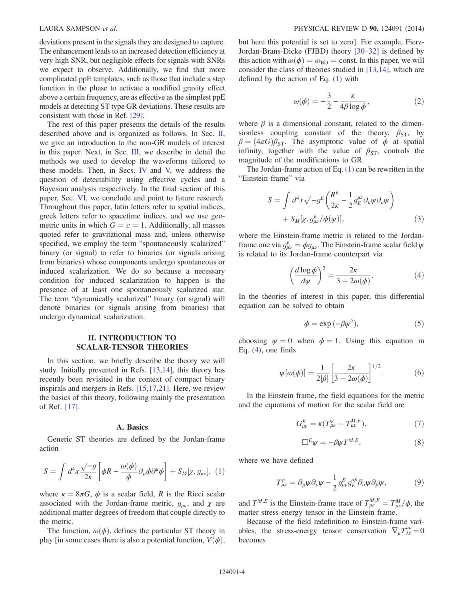deviations present in the signals they are designed to capture. The enhancement leads to an increased detection efficiency at very high SNR, but negligible effects for signals with SNRs we expect to observe. Additionally, we find that more complicated ppE templates, such as those that include a step function in the phase to activate a modified gravity effect above a certain frequency, are as effective as the simplest ppE models at detecting ST-type GR deviations. These results are consistent with those in Ref. [29].

The rest of this paper presents the details of the results described above and is organized as follows. In Sec. II, we give an introduction to the non-GR models of interest in this paper. Next, in Sec. III, we describe in detail the methods we used to develop the waveforms tailored to these models. Then, in Secs. IV and V, we address the question of detectability using effective cycles and a Bayesian analysis respectively. In the final section of this paper, Sec. VI, we conclude and point to future research. Throughout this paper, latin letters refer to spatial indices, greek letters refer to spacetime indices, and we use geometric units in which  $G = c = 1$ . Additionally, all masses quoted refer to gravitational mass and, unless otherwise specified, we employ the term "spontaneously scalarized" binary (or signal) to refer to binaries (or signals arising from binaries) whose components undergo spontaneous or induced scalarization. We do so because a necessary condition for induced scalarization to happen is the presence of at least one spontaneously scalarized star. The term "dynamically scalarized" binary (or signal) will denote binaries (or signals arising from binaries) that undergo dynamical scalarization.

## II. INTRODUCTION TO SCALAR-TENSOR THEORIES

In this section, we briefly describe the theory we will study. Initially presented in Refs. [13,14], this theory has recently been revisited in the context of compact binary inspirals and mergers in Refs. [15,17,21]. Here, we review the basics of this theory, following mainly the presentation of Ref. [17].

#### A. Basics

Generic ST theories are defined by the Jordan-frame action

$$
S = \int d^4x \frac{\sqrt{-g}}{2\kappa} \left[ \phi R - \frac{\omega(\phi)}{\phi} \partial_\mu \phi \partial^\mu \phi \right] + S_M[\chi, g_{\mu\nu}], (1)
$$

where  $\kappa = 8\pi G$ ,  $\phi$  is a scalar field, R is the Ricci scalar associated with the Jordan-frame metric,  $g_{\mu\nu}$ , and  $\chi$  are additional matter degrees of freedom that couple directly to the metric.

The function,  $\omega(\phi)$ , defines the particular ST theory in play [in some cases there is also a potential function,  $V(\phi)$ , but here this potential is set to zero]. For example, Fierz-Jordan-Brans-Dicke (FJBD) theory [30–32] is defined by this action with  $\omega(\phi) = \omega_{BD} = \text{const.}$  In this paper, we will consider the class of theories studied in [13,14], which are defined by the action of Eq. (1) with

$$
\omega(\phi) = -\frac{3}{2} - \frac{\kappa}{4\beta \log \phi},\tag{2}
$$

where  $\beta$  is a dimensional constant, related to the dimensionless coupling constant of the theory,  $\beta_{ST}$ , by  $\beta = (4\pi G)\beta_{ST}$ . The asymptotic value of  $\phi$  at spatial infinity, together with the value of  $\beta_{ST}$ , controls the magnitude of the modifications to GR.

The Jordan-frame action of Eq. (1) can be rewritten in the "Einstein frame" via

$$
S = \int d^4x \sqrt{-g^E} \left( \frac{R^E}{2\kappa} - \frac{1}{2} g_E^{\mu\nu} \partial_\mu \psi \partial_\nu \psi \right) + S_M[\chi, g_{\mu\nu}^E / \phi(\psi)], \qquad (3)
$$

where the Einstein-frame metric is related to the Jordanframe one via  $g_{\mu\nu}^E = \phi g_{\mu\nu}$ . The Einstein-frame scalar field  $\psi$ is related to its Jordan-frame counterpart via

$$
\left(\frac{d\log\phi}{d\psi}\right)^2 = \frac{2\kappa}{3 + 2\omega(\phi)}.
$$
\n(4)

In the theories of interest in this paper, this differential equation can be solved to obtain

$$
\phi = \exp(-\beta \psi^2),\tag{5}
$$

choosing  $\psi = 0$  when  $\phi = 1$ . Using this equation in Eq. (4), one finds

$$
\psi[\omega(\phi)] = \frac{1}{2|\beta|} \left[ \frac{2\kappa}{3 + 2\omega(\phi)} \right]^{1/2}.
$$
 (6)

In the Einstein frame, the field equations for the metric and the equations of motion for the scalar field are

$$
G_{\mu\nu}^{E} = \kappa (T_{\mu\nu}^{\psi} + T_{\mu\nu}^{M,E}), \tag{7}
$$

$$
\Box^E \psi = -\beta \psi T^{M,E},\tag{8}
$$

where we have defined

$$
T^{\psi}_{\mu\nu} = \partial_{\mu}\psi \partial_{\nu}\psi - \frac{1}{2}g^E_{\mu\nu}g^{\alpha\beta}_E \partial_{\alpha}\psi \partial_{\beta}\psi, \tag{9}
$$

and  $T^{M,E}$  is the Einstein-frame trace of  $T^{M,E}_{\mu\nu} = T^M_{\mu\nu}/\phi$ , the matter stress-energy tensor in the Einstein frame.

Because of the field redefinition to Einstein-frame variables, the stress-energy tensor conservation  $\nabla_{\mu} T_M^{\mu\nu} = 0$ becomes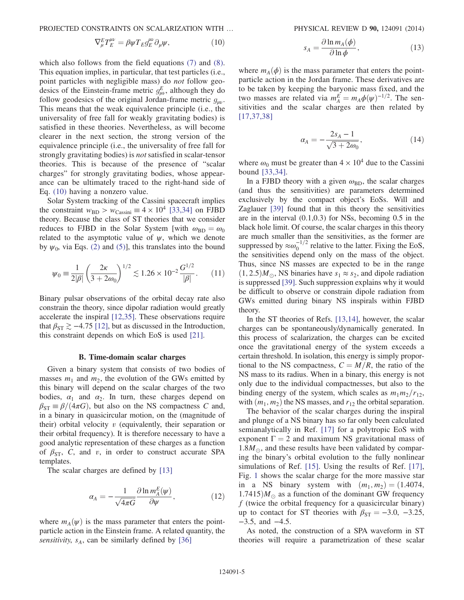PROJECTED CONSTRAINTS ON SCALARIZATION WITH … PHYSICAL REVIEW D 90, 124091 (2014)

$$
\nabla_{\mu}^{E} T_{E}^{\mu\nu} = \beta \psi T_{E} g_{E}^{\mu\nu} \partial_{\mu} \psi, \qquad (10)
$$

which also follows from the field equations (7) and (8). This equation implies, in particular, that test particles (i.e., point particles with negligible mass) do not follow geodesics of the Einstein-frame metric  $g_{\mu\nu}^E$ , although they do follow geodesics of the original Jordan-frame metric  $g_{\mu\nu}$ . This means that the weak equivalence principle (i.e., the universality of free fall for weakly gravitating bodies) is satisfied in these theories. Nevertheless, as will become clearer in the next section, the strong version of the equivalence principle (i.e., the universality of free fall for strongly gravitating bodies) is not satisfied in scalar-tensor theories. This is because of the presence of "scalar charges" for strongly gravitating bodies, whose appearance can be ultimately traced to the right-hand side of Eq. (10) having a nonzero value.

Solar System tracking of the Cassini spacecraft implies the constraint  $w_{BD} > w_{\text{Cassini}} \equiv 4 \times 10^4 \text{ [33,34]}$  on FJBD theory. Because the class of ST theories that we consider reduces to FJBD in the Solar System [with  $\omega_{BD} = \omega_0$ related to the asymptotic value of  $\psi$ , which we denote by  $\psi_0$ , via Eqs. (2) and (5)], this translates into the bound

$$
\psi_0 \equiv \frac{1}{2|\beta|} \left( \frac{2\kappa}{3 + 2\omega_0} \right)^{1/2} \lesssim 1.26 \times 10^{-2} \frac{G^{1/2}}{|\beta|}. \tag{11}
$$

Binary pulsar observations of the orbital decay rate also constrain the theory, since dipolar radiation would greatly accelerate the inspiral [12,35]. These observations require that  $\beta_{ST} \gtrsim -4.75$  [12], but as discussed in the Introduction, this constraint depends on which EoS is used [21].

#### B. Time-domain scalar charges

Given a binary system that consists of two bodies of masses  $m_1$  and  $m_2$ , the evolution of the GWs emitted by this binary will depend on the scalar charges of the two bodies,  $\alpha_1$  and  $\alpha_2$ . In turn, these charges depend on  $\beta_{ST} \equiv \beta/(4\pi G)$ , but also on the NS compactness C and, in a binary in quasicircular motion, on the (magnitude of their) orbital velocity  $v$  (equivalently, their separation or their orbital frequency). It is therefore necessary to have a good analytic representation of these charges as a function of  $\beta_{ST}$ , C, and v, in order to construct accurate SPA templates.

The scalar charges are defined by [13]

$$
\alpha_A = -\frac{1}{\sqrt{4\pi G}} \frac{\partial \ln m_A^E(\psi)}{\partial \psi},\tag{12}
$$

where  $m_A(\psi)$  is the mass parameter that enters the pointparticle action in the Einstein frame. A related quantity, the sensitivity,  $s_A$ , can be similarly defined by [36]

$$
s_A = \frac{\partial \ln m_A(\phi)}{\partial \ln \phi},\tag{13}
$$

where  $m_A(\phi)$  is the mass parameter that enters the pointparticle action in the Jordan frame. These derivatives are to be taken by keeping the baryonic mass fixed, and the two masses are related via  $m_A^E = m_A \phi(\psi)^{-1/2}$ . The sensitivities and the scalar charges are then related by [17,37,38]

$$
\alpha_A = -\frac{2s_A - 1}{\sqrt{3 + 2\omega_0}},\tag{14}
$$

where  $\omega_0$  must be greater than  $4 \times 10^4$  due to the Cassini bound [33,34].

In a FJBD theory with a given  $\omega_{BD}$ , the scalar charges (and thus the sensitivities) are parameters determined exclusively by the compact object's EoSs. Will and Zaglauer [39] found that in this theory the sensitivities are in the interval (0.1,0.3) for NSs, becoming 0.5 in the black hole limit. Of course, the scalar charges in this theory are much smaller than the sensitivities, as the former are suppressed by  $\approx \omega_0^{-1/2}$  relative to the latter. Fixing the EoS, the sensitivities depend only on the mass of the object. Thus, since NS masses are expected to be in the range  $(1, 2.5)M_{\odot}$ , NS binaries have  $s_1 \approx s_2$ , and dipole radiation is suppressed [39]. Such suppression explains why it would be difficult to observe or constrain dipole radiation from GWs emitted during binary NS inspirals within FJBD theory.

In the ST theories of Refs. [13,14], however, the scalar charges can be spontaneously/dynamically generated. In this process of scalarization, the charges can be excited once the gravitational energy of the system exceeds a certain threshold. In isolation, this energy is simply proportional to the NS compactness,  $C = M/R$ , the ratio of the NS mass to its radius. When in a binary, this energy is not only due to the individual compactnesses, but also to the binding energy of the system, which scales as  $m_1m_2/r_{12}$ , with  $(m_1, m_2)$  the NS masses, and  $r_{12}$  the orbital separation.

The behavior of the scalar charges during the inspiral and plunge of a NS binary has so far only been calculated semianalytically in Ref. [17] for a polytropic EoS with exponent  $\Gamma = 2$  and maximum NS gravitational mass of  $1.8M_{\odot}$ , and these results have been validated by comparing the binary's orbital evolution to the fully nonlinear simulations of Ref. [15]. Using the results of Ref. [17], Fig. 1 shows the scalar charge for the more massive star in a NS binary system with  $(m_1, m_2) = (1.4074,$  $1.7415)M_{\odot}$  as a function of the dominant GW frequency  $f$  (twice the orbital frequency for a quasicircular binary) up to contact for ST theories with  $\beta_{ST} = -3.0, -3.25,$ −3.5, and −4.5.

As noted, the construction of a SPA waveform in ST theories will require a parametrization of these scalar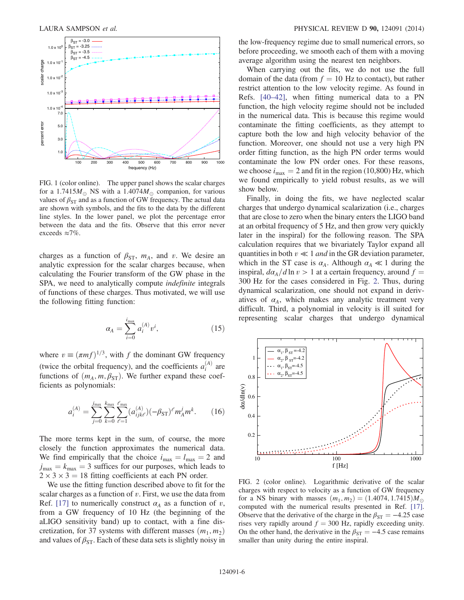

FIG. 1 (color online). The upper panel shows the scalar charges for a 1.7415 $M_{\odot}$  NS with a 1.4074 $M_{\odot}$  companion, for various values of  $\beta_{ST}$  and as a function of GW frequency. The actual data are shown with symbols, and the fits to the data by the different line styles. In the lower panel, we plot the percentage error between the data and the fits. Observe that this error never exceeds  $\approx 7\%$ .

charges as a function of  $\beta_{ST}$ ,  $m_A$ , and v. We desire an analytic expression for the scalar charges because, when calculating the Fourier transform of the GW phase in the SPA, we need to analytically compute *indefinite* integrals of functions of these charges. Thus motivated, we will use the following fitting function:

$$
\alpha_A = \sum_{i=0}^{i_{\text{max}}} a_i^{(A)} v^i,\tag{15}
$$

where  $v \equiv (\pi m f)^{1/3}$ , with f the dominant GW frequency (twice the orbital frequency), and the coefficients  $a_i^{(A)}$  are functions of  $(m_A, m, \beta_{ST})$ . We further expand these coefficients as polynomials:

$$
a_i^{(A)} = \sum_{j=0}^{j_{\text{max}}} \sum_{k=0}^{k_{\text{max}}} \sum_{\ell=1}^{\ell_{\text{max}}} (a_{ijk\ell}^{(A)}) (-\beta_{\text{ST}})^{\ell} m_A^j m^k. \tag{16}
$$

The more terms kept in the sum, of course, the more closely the function approximates the numerical data. We find empirically that the choice  $i_{\text{max}} = l_{\text{max}} = 2$  and  $j_{\text{max}} = k_{\text{max}} = 3$  suffices for our purposes, which leads to  $2 \times 3 \times 3 = 18$  fitting coefficients at each PN order.

We use the fitting function described above to fit for the scalar charges as a function of  $v$ . First, we use the data from Ref. [17] to numerically construct  $\alpha_A$  as a function of v, from a GW frequency of 10 Hz (the beginning of the aLIGO sensitivity band) up to contact, with a fine discretization, for 37 systems with different masses  $(m_1, m_2)$ and values of  $\beta_{ST}$ . Each of these data sets is slightly noisy in the low-frequency regime due to small numerical errors, so before proceeding, we smooth each of them with a moving average algorithm using the nearest ten neighbors.

When carrying out the fits, we do not use the full domain of the data (from  $f = 10$  Hz to contact), but rather restrict attention to the low velocity regime. As found in Refs. [40–42], when fitting numerical data to a PN function, the high velocity regime should not be included in the numerical data. This is because this regime would contaminate the fitting coefficients, as they attempt to capture both the low and high velocity behavior of the function. Moreover, one should not use a very high PN order fitting function, as the high PN order terms would contaminate the low PN order ones. For these reasons, we choose  $i_{\text{max}} = 2$  and fit in the region (10,800) Hz, which we found empirically to yield robust results, as we will show below.

Finally, in doing the fits, we have neglected scalar charges that undergo dynamical scalarization (i.e., charges that are close to zero when the binary enters the LIGO band at an orbital frequency of 5 Hz, and then grow very quickly later in the inspiral) for the following reason. The SPA calculation requires that we bivariately Taylor expand all quantities in both  $v \ll 1$  and in the GR deviation parameter, which in the ST case is  $\alpha_A$ . Although  $\alpha_A \ll 1$  during the inspiral,  $d\alpha_A/d \ln v > 1$  at a certain frequency, around  $f =$ 300 Hz for the cases considered in Fig. 2. Thus, during dynamical scalarization, one should not expand in derivatives of  $\alpha_A$ , which makes any analytic treatment very difficult. Third, a polynomial in velocity is ill suited for representing scalar charges that undergo dynamical



FIG. 2 (color online). Logarithmic derivative of the scalar charges with respect to velocity as a function of GW frequency for a NS binary with masses  $(m_1, m_2) = (1.4074, 1.7415)M_{\odot}$ computed with the numerical results presented in Ref. [17]. Observe that the derivative of the charge in the  $\beta_{ST} = -4.25$  case rises very rapidly around  $f = 300$  Hz, rapidly exceeding unity. On the other hand, the derivative in the  $\beta_{ST} = -4.5$  case remains smaller than unity during the entire inspiral.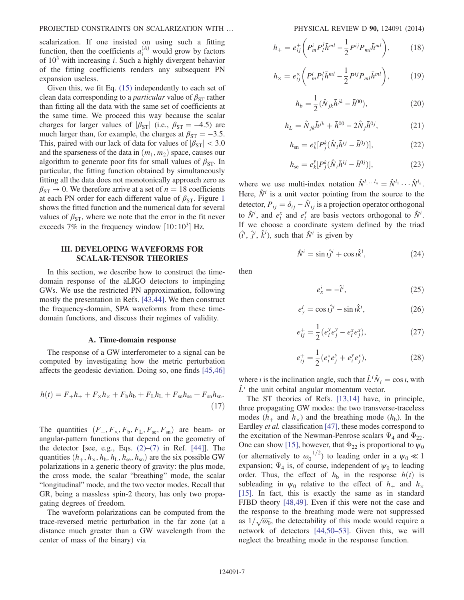scalarization. If one insisted on using such a fitting function, then the coefficients  $a_i^{(A)}$  would grow by factors of  $10<sup>3</sup>$  with increasing *i*. Such a highly divergent behavior of the fitting coefficients renders any subsequent PN expansion useless.

Given this, we fit Eq. (15) independently to each set of clean data corresponding to a *particular* value of  $\beta_{ST}$  rather than fitting all the data with the same set of coefficients at the same time. We proceed this way because the scalar charges for larger values of  $|\beta_{ST}|$  (i.e.,  $\beta_{ST} = -4.5$ ) are much larger than, for example, the charges at  $\beta_{ST} = -3.5$ . This, paired with our lack of data for values of  $|\beta_{ST}| < 3.0$ and the sparseness of the data in  $(m_1, m_2)$  space, causes our algorithm to generate poor fits for small values of  $\beta_{ST}$ . In particular, the fitting function obtained by simultaneously fitting all the data does not monotonically approach zero as  $\beta_{ST} \rightarrow 0$ . We therefore arrive at a set of  $n = 18$  coefficients at each PN order for each different value of  $\beta_{ST}$ . Figure 1 shows the fitted function and the numerical data for several values of  $\beta_{ST}$ , where we note that the error in the fit never exceeds 7% in the frequency window  $[10:10^3]$  Hz.

## III. DEVELOPING WAVEFORMS FOR SCALAR-TENSOR THEORIES

In this section, we describe how to construct the timedomain response of the aLIGO detectors to impinging GWs. We use the restricted PN approximation, following mostly the presentation in Refs. [43,44]. We then construct the frequency-domain, SPA waveforms from these timedomain functions, and discuss their regimes of validity.

#### A. Time-domain response

The response of a GW interferometer to a signal can be computed by investigating how the metric perturbation affects the geodesic deviation. Doing so, one finds [45,46]

$$
h(t) = F_{+}h_{+} + F_{\times}h_{\times} + F_{b}h_{b} + F_{L}h_{L} + F_{se}h_{se} + F_{sn}h_{sn}.
$$
\n(17)

The quantities  $(F_+, F_\times, F_\mathrm{b}, F_\mathrm{L}, F_\mathrm{se}, F_\mathrm{sn})$  are beam- or angular-pattern functions that depend on the geometry of the detector [see, e.g., Eqs.  $(2)$ – $(7)$  in Ref. [44]]. The quantities  $(h_+, h_\times, h_\text{b}, h_\text{L}, h_\text{se}, h_\text{sn})$  are the six possible GW polarizations in a generic theory of gravity: the plus mode, the cross mode, the scalar "breathing" mode, the scalar "longitudinal" mode, and the two vector modes. Recall that GR, being a massless spin-2 theory, has only two propagating degrees of freedom.

The waveform polarizations can be computed from the trace-reversed metric perturbation in the far zone (at a distance much greater than a GW wavelength from the center of mass of the binary) via

$$
h_{+} = e_{ij}^{+} \left( P_{m}^{i} P_{l}^{j} \bar{h}^{ml} - \frac{1}{2} P^{ij} P_{ml} \bar{h}^{ml} \right), \qquad (18)
$$

$$
h_{\times} = e_{ij}^{\times} \left( P_m^i P_l^j \bar{h}^{ml} - \frac{1}{2} P^{ij} P_{ml} \bar{h}^{ml} \right), \tag{19}
$$

$$
h_b = \frac{1}{2} (\hat{N}_{jk}\bar{h}^{jk} - \bar{h}^{00}),
$$
 (20)

$$
h_L = \hat{N}_{jk}\bar{h}^{jk} + \bar{h}^{00} - 2\hat{N}_j\bar{h}^{0j},\tag{21}
$$

$$
h_{\rm sn} = e_k^x [P_j^k(\hat{N}_i \bar{h}^{ij} - \bar{h}^{0j})],\tag{22}
$$

$$
h_{\rm se} = e_k^{\rm y} [P_j^k (\hat{N}_i \bar{h}^{ij} - \bar{h}^{0j})], \tag{23}
$$

where we use multi-index notation  $\hat{N}^{l_1...l_n} = \hat{N}^{l_1} \cdots \hat{N}^{l_n}$ . Here,  $\hat{N}^i$  is a unit vector pointing from the source to the detector,  $P_{ij} = \delta_{ij} - \hat{N}_{ij}$  is a projection operator orthogonal to  $\hat{N}^i$ , and  $e_i^x$  and  $e_i^y$  are basis vectors orthogonal to  $\hat{N}^i$ . If we choose a coordinate system defined by the triad  $(\hat{i}^i, \hat{j}^i, \hat{k}^i)$ , such that  $\hat{N}^i$  is given by

$$
\hat{N}^i = \sin i \hat{j}^i + \cos i \hat{k}^i, \qquad (24)
$$

then

$$
e_x^i = -\hat{i}^i,\tag{25}
$$

$$
e_y^i = \cos i \hat{j}^i - \sin i \hat{k}^i, \qquad (26)
$$

$$
e_{ij}^{+} = \frac{1}{2} (e_i^y e_j^y - e_i^x e_j^x), \qquad (27)
$$

$$
e_{ij}^{+} = \frac{1}{2} (e_i^x e_j^y + e_i^y e_j^x), \qquad (28)
$$

where *i* is the inclination angle, such that  $\hat{L}^i \hat{N}_i = \cos i$ , with  $\hat{L}^i$  the unit orbital angular momentum vector.

The ST theories of Refs. [13,14] have, in principle, three propagating GW modes: the two transverse-traceless modes ( $h_+$  and  $h_{\times}$ ) and the breathing mode ( $h_{\rm b}$ ). In the Eardley et al. classification [47], these modes correspond to the excitation of the Newman-Penrose scalars  $\Psi_4$  and  $\Phi_{22}$ . One can show [15], however, that  $\Phi_{22}$  is proportional to  $\psi_0$ (or alternatively to  $\omega_0^{-1/2}$ ) to leading order in a  $\psi_0 \ll 1$ expansion;  $\Psi_4$  is, of course, independent of  $\psi_0$  to leading order. Thus, the effect of  $h<sub>b</sub>$  in the response  $h(t)$  is subleading in  $\psi_0$  relative to the effect of  $h_{+}$  and  $h_{\times}$ [15]. In fact, this is exactly the same as in standard FJBD theory [48,49]. Even if this were not the case and the response to the breathing mode were not suppressed as  $1/\sqrt{\omega_0}$ , the detectability of this mode would require a network of detectors [44,50–53]. Given this, we will neglect the breathing mode in the response function.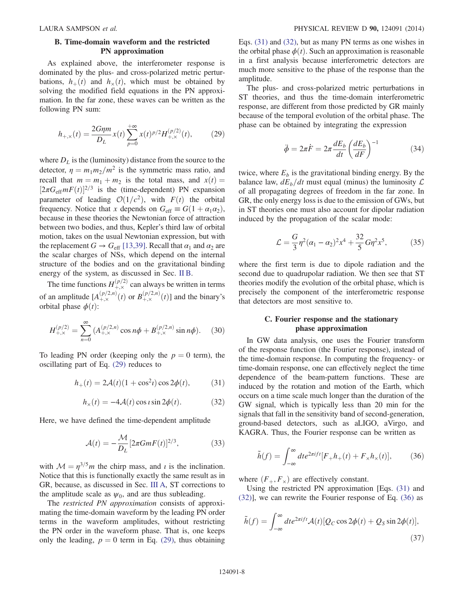## B. Time-domain waveform and the restricted PN approximation

As explained above, the interferometer response is dominated by the plus- and cross-polarized metric perturbations,  $h_{+}(t)$  and  $h_{\times}(t)$ , which must be obtained by solving the modified field equations in the PN approximation. In the far zone, these waves can be written as the following PN sum:

$$
h_{+,\times}(t) = \frac{2G\eta m}{D_L} x(t) \sum_{p=0}^{+\infty} x(t)^{p/2} H_{+,\times}^{(p/2)}(t),\tag{29}
$$

where  $D_L$  is the (luminosity) distance from the source to the detector,  $\eta = m_1 m_2 / m^2$  is the symmetric mass ratio, and recall that  $m = m_1 + m_2$  is the total mass, and  $x(t) =$  $[2\pi G_{\text{eff}} mF(t)]^{2/3}$  is the (time-dependent) PN expansion parameter of leading  $\mathcal{O}(1/c^2)$ , with  $F(t)$  the orbital frequency. Notice that x depends on  $G_{\text{eff}} \equiv G(1 + \alpha_1 \alpha_2)$ , because in these theories the Newtonian force of attraction between two bodies, and thus, Kepler's third law of orbital motion, takes on the usual Newtonian expression, but with the replacement  $G \to G_{\text{eff}}$  [13,39]. Recall that  $\alpha_1$  and  $\alpha_2$  are the scalar charges of NSs, which depend on the internal structure of the bodies and on the gravitational binding energy of the system, as discussed in Sec. II B.

The time functions  $H_{+, \times}^{(p/2)}$  can always be written in terms of an amplitude  $[A_{+,\times}^{(p/2,n)}(t)$  or  $B_{+,\times}^{(p/2,n)}(t)]$  and the binary's orbital phase  $\phi(t)$ :

$$
H_{+,\times}^{(p/2)} = \sum_{n=0}^{\infty} \left( A_{+,\times}^{(p/2,n)} \cos n\phi + B_{+,\times}^{(p/2,n)} \sin n\phi \right). \tag{30}
$$

To leading PN order (keeping only the  $p = 0$  term), the oscillating part of Eq. (29) reduces to

$$
h_{+}(t) = 2\mathcal{A}(t)(1 + \cos^{2} t)\cos 2\phi(t), \qquad (31)
$$

$$
h_{\times}(t) = -4\mathcal{A}(t)\cos\iota\sin 2\phi(t). \tag{32}
$$

Here, we have defined the time-dependent amplitude

$$
\mathcal{A}(t) = -\frac{\mathcal{M}}{D_L} [2\pi GmF(t)]^{2/3},\qquad(33)
$$

with  $\mathcal{M} = \eta^{3/5}m$  the chirp mass, and *i* is the inclination. Notice that this is functionally exactly the same result as in GR, because, as discussed in Sec. III A, ST corrections to the amplitude scale as  $\psi_0$ , and are thus subleading.

The restricted PN approximation consists of approximating the time-domain waveform by the leading PN order terms in the waveform amplitudes, without restricting the PN order in the waveform phase. That is, one keeps only the leading,  $p = 0$  term in Eq. (29), thus obtaining Eqs. (31) and (32), but as many PN terms as one wishes in the orbital phase  $\phi(t)$ . Such an approximation is reasonable in a first analysis because interferometric detectors are much more sensitive to the phase of the response than the amplitude.

The plus- and cross-polarized metric perturbations in ST theories, and thus the time-domain interferometric response, are different from those predicted by GR mainly because of the temporal evolution of the orbital phase. The phase can be obtained by integrating the expression

$$
\ddot{\phi} = 2\pi \dot{F} = 2\pi \frac{dE_b}{dt} \left(\frac{dE_b}{dF}\right)^{-1} \tag{34}
$$

twice, where  $E<sub>b</sub>$  is the gravitational binding energy. By the balance law,  $dE_b/dt$  must equal (minus) the luminosity  $\mathcal L$ of all propagating degrees of freedom in the far zone. In GR, the only energy loss is due to the emission of GWs, but in ST theories one must also account for dipolar radiation induced by the propagation of the scalar mode:

$$
\mathcal{L} = \frac{G}{3} \eta^2 (\alpha_1 - \alpha_2)^2 x^4 + \frac{32}{5} G \eta^2 x^5, \tag{35}
$$

where the first term is due to dipole radiation and the second due to quadrupolar radiation. We then see that ST theories modify the evolution of the orbital phase, which is precisely the component of the interferometric response that detectors are most sensitive to.

## C. Fourier response and the stationary phase approximation

In GW data analysis, one uses the Fourier transform of the response function (the Fourier response), instead of the time-domain response. In computing the frequency- or time-domain response, one can effectively neglect the time dependence of the beam-pattern functions. These are induced by the rotation and motion of the Earth, which occurs on a time scale much longer than the duration of the GW signal, which is typically less than 20 min for the signals that fall in the sensitivity band of second-generation, ground-based detectors, such as aLIGO, aVirgo, and KAGRA. Thus, the Fourier response can be written as

$$
\tilde{h}(f) = \int_{-\infty}^{\infty} dt e^{2\pi i f t} [F_{+}h_{+}(t) + F_{\times}h_{\times}(t)],\tag{36}
$$

where  $(F_+, F_\times)$  are effectively constant.

Using the restricted PN approximation [Eqs. (31) and (32)], we can rewrite the Fourier response of Eq. (36) as

$$
\tilde{h}(f) = \int_{-\infty}^{\infty} dt e^{2\pi i f t} \mathcal{A}(t) [Q_C \cos 2\phi(t) + Q_S \sin 2\phi(t)],
$$
\n(37)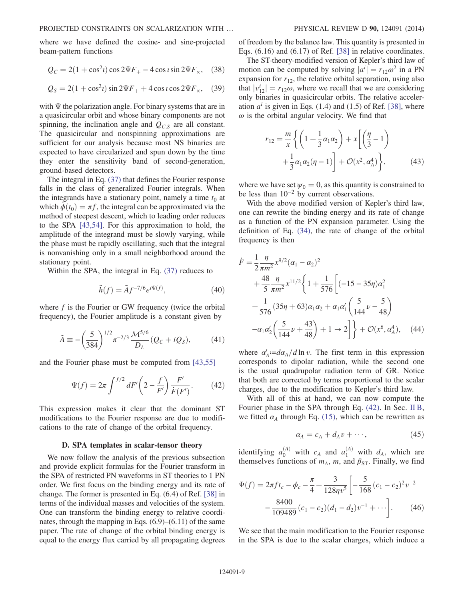where we have defined the cosine- and sine-projected beam-pattern functions

$$
Q_C = 2(1 + \cos^2 t) \cos 2\Psi F_+ - 4 \cos t \sin 2\Psi F_\times, \quad (38)
$$

$$
Q_S = 2(1 + \cos^2 t) \sin 2\Psi F_+ + 4 \cos t \cos 2\Psi F_\times, \quad (39)
$$

with  $\Psi$  the polarization angle. For binary systems that are in a quasicircular orbit and whose binary components are not spinning, the inclination angle and  $Q_{C,S}$  are all constant. The quasicircular and nonspinning approximations are sufficient for our analysis because most NS binaries are expected to have circularized and spun down by the time they enter the sensitivity band of second-generation, ground-based detectors.

The integral in Eq. (37) that defines the Fourier response falls in the class of generalized Fourier integrals. When the integrands have a stationary point, namely a time  $t_0$  at which  $\phi(t_0) = \pi f$ , the integral can be approximated via the method of steepest descent, which to leading order reduces to the SPA [43,54]. For this approximation to hold, the amplitude of the integrand must be slowly varying, while the phase must be rapidly oscillating, such that the integral is nonvanishing only in a small neighborhood around the stationary point.

Within the SPA, the integral in Eq. (37) reduces to

$$
\tilde{h}(f) = \tilde{A}f^{-7/6}e^{i\Psi(f)},\tag{40}
$$

where  $f$  is the Fourier or GW frequency (twice the orbital frequency), the Fourier amplitude is a constant given by

$$
\tilde{A} \equiv -\left(\frac{5}{384}\right)^{1/2} \pi^{-2/3} \frac{\mathcal{M}^{5/6}}{D_L} (Q_C + i Q_S),\tag{41}
$$

and the Fourier phase must be computed from [43,55]

$$
\Psi(f) = 2\pi \int^{f/2} dF' \left(2 - \frac{f}{F'}\right) \frac{F'}{\dot{F}(F')}.
$$
 (42)

This expression makes it clear that the dominant ST modifications to the Fourier response are due to modifications to the rate of change of the orbital frequency.

#### D. SPA templates in scalar-tensor theory

We now follow the analysis of the previous subsection and provide explicit formulas for the Fourier transform in the SPA of restricted PN waveforms in ST theories to 1 PN order. We first focus on the binding energy and its rate of change. The former is presented in Eq. (6.4) of Ref. [38] in terms of the individual masses and velocities of the system. One can transform the binding energy to relative coordinates, through the mapping in Eqs.  $(6.9)$ – $(6.11)$  of the same paper. The rate of change of the orbital binding energy is equal to the energy flux carried by all propagating degrees of freedom by the balance law. This quantity is presented in Eqs. (6.16) and (6.17) of Ref. [38] in relative coordinates.

The ST-theory-modified version of Kepler's third law of motion can be computed by solving  $|a^i| = r_{12}\omega^2$  in a PN expansion for  $r_{12}$ , the relative orbital separation, using also that  $|v_{12}^i| = r_{12}\omega$ , where we recall that we are considering only binaries in quasicircular orbits. The relative acceleration  $a^i$  is given in Eqs. (1.4) and (1.5) of Ref. [38], where  $\omega$  is the orbital angular velocity. We find that

$$
r_{12} = \frac{m}{x} \left\{ \left( 1 + \frac{1}{3} \alpha_1 \alpha_2 \right) + x \left[ \left( \frac{\eta}{3} - 1 \right) \right] + \frac{1}{3} \alpha_1 \alpha_2 (\eta - 1) \right\} + \mathcal{O}(x^2, \alpha_A^4) \left\},\right\}
$$
(43)

where we have set  $\psi_0 = 0$ , as this quantity is constrained to be less than 10<sup>−</sup><sup>2</sup> by current observations.

With the above modified version of Kepler's third law, one can rewrite the binding energy and its rate of change as a function of the PN expansion parameter. Using the definition of Eq. (34), the rate of change of the orbital frequency is then

$$
\dot{F} = \frac{1}{2} \frac{\eta}{\pi m^2} x^{9/2} (\alpha_1 - \alpha_2)^2
$$
  
+  $\frac{48}{5} \frac{\eta}{\pi m^2} x^{11/2} \left\{ 1 + \frac{1}{576} \left[ (-15 - 35\eta) \alpha_1^2 + \frac{1}{576} (35\eta + 63) \alpha_1 \alpha_2 + \alpha_1 \alpha_1' \left( \frac{5}{144} \nu - \frac{5}{48} \right) - \alpha_1 \alpha_2' \left( \frac{5}{144} \nu + \frac{43}{48} \right) + 1 \rightarrow 2 \right] \right\} + \mathcal{O}(x^6, \alpha_A^4), \quad (44)$ 

where  $\alpha'_A = d\alpha_A/d \ln v$ . The first term in this expression corresponds to dipolar radiation, while the second one is the usual quadrupolar radiation term of GR. Notice that both are corrected by terms proportional to the scalar charges, due to the modification to Kepler's third law.

With all of this at hand, we can now compute the Fourier phase in the SPA through Eq. (42). In Sec. II B, we fitted  $\alpha_A$  through Eq. (15), which can be rewritten as

$$
\alpha_A = c_A + d_A v + \cdots, \qquad (45)
$$

identifying  $a_0^{(A)}$  with  $c_A$  and  $a_1^{(A)}$  with  $d_A$ , which are themselves functions of  $m_A$ ,  $m$ , and  $\beta_{ST}$ . Finally, we find

$$
\Psi(f) = 2\pi f t_c - \phi_c - \frac{\pi}{4} + \frac{3}{128\eta v^5} \left[ -\frac{5}{168} (c_1 - c_2)^2 v^{-2} - \frac{8400}{109489} (c_1 - c_2)(d_1 - d_2) v^{-1} + \cdots \right].
$$
 (46)

We see that the main modification to the Fourier response in the SPA is due to the scalar charges, which induce a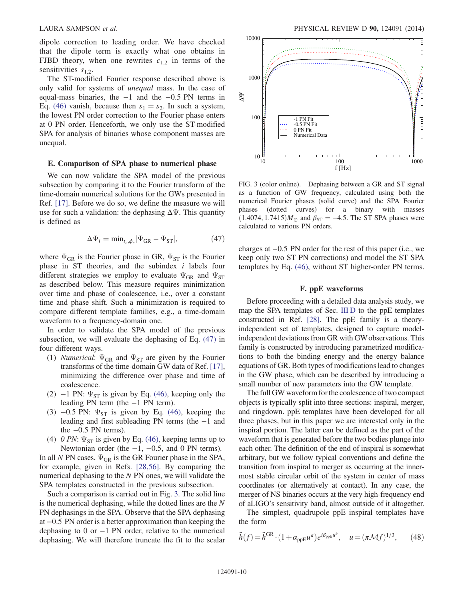dipole correction to leading order. We have checked that the dipole term is exactly what one obtains in FJBD theory, when one rewrites  $c_{1,2}$  in terms of the sensitivities  $s_{1,2}$ .

The ST-modified Fourier response described above is only valid for systems of unequal mass. In the case of equal-mass binaries, the −1 and the −0.5 PN terms in Eq. (46) vanish, because then  $s_1 = s_2$ . In such a system, the lowest PN order correction to the Fourier phase enters at 0 PN order. Henceforth, we only use the ST-modified SPA for analysis of binaries whose component masses are unequal.

#### E. Comparison of SPA phase to numerical phase

We can now validate the SPA model of the previous subsection by comparing it to the Fourier transform of the time-domain numerical solutions for the GWs presented in Ref. [17]. Before we do so, we define the measure we will use for such a validation: the dephasing  $\Delta \Psi$ . This quantity is defined as

$$
\Delta\Psi_i = \min_{t_c, \phi_c} |\Psi_{\text{GR}} - \Psi_{\text{ST}}|,\tag{47}
$$

where  $\Psi_{GR}$  is the Fourier phase in GR,  $\Psi_{ST}$  is the Fourier phase in ST theories, and the subindex  $i$  labels four different strategies we employ to evaluate  $\Psi_{GR}$  and  $\Psi_{ST}$ as described below. This measure requires minimization over time and phase of coalescence, i.e., over a constant time and phase shift. Such a minimization is required to compare different template families, e.g., a time-domain waveform to a frequency-domain one.

In order to validate the SPA model of the previous subsection, we will evaluate the dephasing of Eq. (47) in four different ways.

- (1) Numerical:  $\Psi_{GR}$  and  $\Psi_{ST}$  are given by the Fourier transforms of the time-domain GW data of Ref. [17], minimizing the difference over phase and time of coalescence.
- (2) −1 PN:  $\Psi_{ST}$  is given by Eq. (46), keeping only the leading PN term (the −1 PN term).
- (3)  $-0.5$  PN:  $\Psi_{ST}$  is given by Eq. (46), keeping the leading and first subleading PN terms (the −1 and the  $-0.5$  PN terms).
- (4) 0 PN:  $\Psi_{ST}$  is given by Eq. (46), keeping terms up to Newtonian order (the  $-1$ ,  $-0.5$ , and 0 PN terms).

In all N PN cases,  $\Psi_{GR}$  is the GR Fourier phase in the SPA, for example, given in Refs. [28,56]. By comparing the numerical dephasing to the N PN ones, we will validate the SPA templates constructed in the previous subsection.

Such a comparison is carried out in Fig. 3. The solid line is the numerical dephasing, while the dotted lines are the N PN dephasings in the SPA. Observe that the SPA dephasing at −0.5 PN order is a better approximation than keeping the dephasing to 0 or −1 PN order, relative to the numerical dephasing. We will therefore truncate the fit to the scalar



FIG. 3 (color online). Dephasing between a GR and ST signal as a function of GW frequency, calculated using both the numerical Fourier phases (solid curve) and the SPA Fourier phases (dotted curves) for a binary with masses  $(1.4074, 1.7415)M_{\odot}$  and  $\beta_{ST} = -4.5$ . The ST SPA phases were calculated to various PN orders.

charges at −0.5 PN order for the rest of this paper (i.e., we keep only two ST PN corrections) and model the ST SPA templates by Eq. (46), without ST higher-order PN terms.

#### F. ppE waveforms

Before proceeding with a detailed data analysis study, we map the SPA templates of Sec. III D to the ppE templates constructed in Ref. [28]. The ppE family is a theoryindependent set of templates, designed to capture modelindependent deviations from GR with GW observations. This family is constructed by introducing parametrized modifications to both the binding energy and the energy balance equations of GR. Both types of modifications lead to changes in the GW phase, which can be described by introducing a small number of new parameters into the GW template.

The full GW waveform for the coalescence of two compact objects is typically split into three sections: inspiral, merger, and ringdown. ppE templates have been developed for all three phases, but in this paper we are interested only in the inspiral portion. The latter can be defined as the part of the waveform that is generated before the two bodies plunge into each other. The definition of the end of inspiral is somewhat arbitrary, but we follow typical conventions and define the transition from inspiral to merger as occurring at the innermost stable circular orbit of the system in center of mass coordinates (or alternatively at contact). In any case, the merger of NS binaries occurs at the very high-frequency end of aLIGO's sensitivity band, almost outside of it altogether.

The simplest, quadrupole ppE inspiral templates have the form

$$
\tilde{h}(f) = \tilde{h}^{\text{GR}} \cdot (1 + \alpha_{\text{ppE}} u^a) e^{i\beta_{\text{ppE}} u^b}, \quad u = (\pi \mathcal{M}f)^{1/3}, \qquad (48)
$$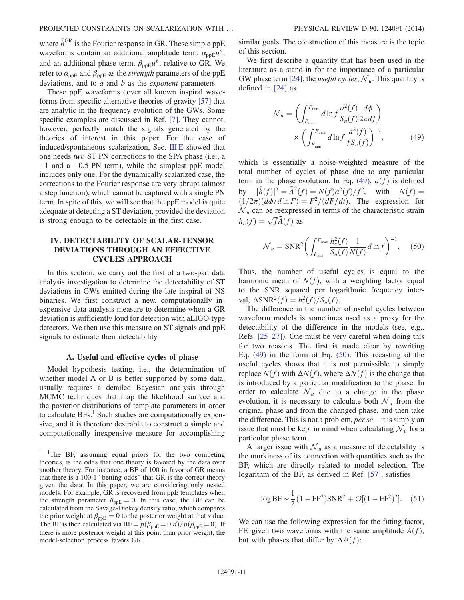where  $\tilde{h}^{GR}$  is the Fourier response in GR. These simple ppE waveforms contain an additional amplitude term,  $\alpha_{\text{ppE}}u^a$ , and an additional phase term,  $\beta_{\text{ppE}}u^b$ , relative to GR. We refer to  $\alpha_{\text{ppE}}$  and  $\beta_{\text{ppE}}$  as the *strength* parameters of the ppE deviations, and to  $a$  and  $b$  as the *exponent* parameters.

These ppE waveforms cover all known inspiral waveforms from specific alternative theories of gravity [57] that are analytic in the frequency evolution of the GWs. Some specific examples are discussed in Ref. [7]. They cannot, however, perfectly match the signals generated by the theories of interest in this paper. For the case of induced/spontaneous scalarization, Sec. III E showed that one needs two ST PN corrections to the SPA phase (i.e., a −1 and a −0.5 PN term), while the simplest ppE model includes only one. For the dynamically scalarized case, the corrections to the Fourier response are very abrupt (almost a step function), which cannot be captured with a single PN term. In spite of this, we will see that the ppE model is quite adequate at detecting a ST deviation, provided the deviation is strong enough to be detectable in the first case.

## IV. DETECTABILITY OF SCALAR-TENSOR DEVIATIONS THROUGH AN EFFECTIVE CYCLES APPROACH

In this section, we carry out the first of a two-part data analysis investigation to determine the detectability of ST deviations in GWs emitted during the late inspiral of NS binaries. We first construct a new, computationally inexpensive data analysis measure to determine when a GR deviation is sufficiently loud for detection with aLIGO-type detectors. We then use this measure on ST signals and ppE signals to estimate their detectability.

#### A. Useful and effective cycles of phase

Model hypothesis testing, i.e., the determination of whether model A or B is better supported by some data, usually requires a detailed Bayesian analysis through MCMC techniques that map the likelihood surface and the posterior distributions of template parameters in order to calculate BFs.<sup>1</sup> Such studies are computationally expensive, and it is therefore desirable to construct a simple and computationally inexpensive measure for accomplishing similar goals. The construction of this measure is the topic of this section.

We first describe a quantity that has been used in the literature as a stand-in for the importance of a particular GW phase term [24]: the *useful cycles*,  $\mathcal{N}_u$ . This quantity is defined in [24] as

$$
\mathcal{N}_u = \left( \int_{F_{\min}}^{F_{\max}} d\ln f \frac{a^2(f)}{S_n(f)} \frac{d\phi}{2\pi df} \right) \times \left( \int_{F_{\min}}^{F_{\max}} d\ln f \frac{a^2(f)}{f S_n(f)} \right)^{-1}, \tag{49}
$$

which is essentially a noise-weighted measure of the total number of cycles of phase due to any particular term in the phase evolution. In Eq. (49),  $a(f)$  is defined<br>by  $|\tilde{h}(f)|^2 = \tilde{A}^2(f) = N(f)a^2(f)/f^2$ , with  $N(f) =$ by  $|\tilde{h}(f)|^2 = \tilde{A}^2(f) = N(f)a^2(f)/f^2$ , with  $N(f) =$  $(1/2\pi)(d\phi/d\ln F) = F^2/(dF/dt)$ . The expression for  $\mathcal{N}_u$  can be reexpressed in terms of the characteristic strain  $h_c(f) = \sqrt{f}\tilde{A}(f)$  as

$$
\mathcal{N}_u = \text{SNR}^2 \bigg( \int_{F_{\text{min}}}^{F_{\text{max}}} \frac{h_c^2(f)}{S_n(f)} \frac{1}{N(f)} d\ln f \bigg)^{-1} . \tag{50}
$$

Thus, the number of useful cycles is equal to the harmonic mean of  $N(f)$ , with a weighting factor equal to the SNR squared per logarithmic frequency interval,  $\Delta$ SNR<sup>2</sup> $(f) = h_c^2(f)/S_n(f)$ .

The difference in the number of useful cycles between waveform models is sometimes used as a proxy for the detectability of the difference in the models (see, e.g., Refs. [25–27]). One must be very careful when doing this for two reasons. The first is made clear by rewriting Eq. (49) in the form of Eq. (50). This recasting of the useful cycles shows that it is not permissible to simply replace  $N(f)$  with  $\Delta N(f)$ , where  $\Delta N(f)$  is the change that is introduced by a particular modification to the phase. In order to calculate  $\mathcal{N}_u$  due to a change in the phase evolution, it is necessary to calculate both  $\mathcal{N}_u$  from the original phase and from the changed phase, and then take the difference. This is not a problem, per se—it is simply an issue that must be kept in mind when calculating  $\mathcal{N}_u$  for a particular phase term.

A larger issue with  $\mathcal{N}_u$  as a measure of detectability is the murkiness of its connection with quantities such as the BF, which are directly related to model selection. The logarithm of the BF, as derived in Ref. [57], satisfies

$$
\log \text{BF} \sim \frac{1}{2} (1 - \text{FF}^2) \text{SNR}^2 + \mathcal{O}[(1 - \text{FF}^2)^2]. \quad (51)
$$

We can use the following expression for the fitting factor, FF, given two waveforms with the same amplitude  $A(f)$ , but with phases that differ by  $\Delta \Psi(f)$ :

<sup>&</sup>lt;sup>1</sup>The BF, assuming equal priors for the two competing theories, is the odds that one theory is favored by the data over another theory. For instance, a BF of 100 in favor of GR means that there is a 100:1 "betting odds" that GR is the correct theory given the data. In this paper, we are considering only nested models. For example, GR is recovered from ppE templates when the strength parameter  $\beta_{\text{ppE}} = 0$ . In this case, the BF can be calculated from the Savage-Dickey density ratio, which compares the prior weight at  $\beta_{\text{ppE}} = 0$  to the posterior weight at that value. The BF is then calculated via BF =  $p(\beta_{\text{ppE}} = 0|d)/p(\beta_{\text{ppE}} = 0)$ . If there is more posterior weight at this point than prior weight, the model-selection process favors GR.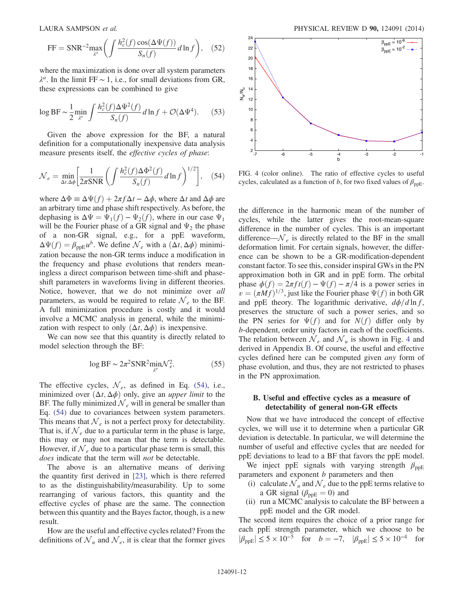$$
FF = SNR^{-2} \max_{\lambda^a} \left( \int \frac{h_c^2(f) \cos(\Delta \Psi(f))}{S_n(f)} d\ln f \right), \quad (52)
$$

where the maximization is done over all system parameters  $\lambda^a$ . In the limit FF ~ 1, i.e., for small deviations from GR, these expressions can be combined to give

$$
\log \mathrm{BF} \sim \frac{1}{2} \min_{\lambda^a} \int \frac{h_c^2(f) \Delta \Psi^2(f)}{S_n(f)} d\ln f + \mathcal{O}(\Delta \Psi^4). \tag{53}
$$

Given the above expression for the BF, a natural definition for a computationally inexpensive data analysis measure presents itself, the effective cycles of phase:

$$
\mathcal{N}_e = \min_{\Delta t, \Delta \phi} \left[ \frac{1}{2\pi \text{SNR}} \left( \int \frac{h_c^2(f) \Delta \Phi^2(f)}{S_n(f)} d\ln f \right)^{1/2} \right], \quad (54)
$$

where  $\Delta \Phi \equiv \Delta \Psi(f) + 2\pi f \Delta t - \Delta \phi$ , where  $\Delta t$  and  $\Delta \phi$  are an arbitrary time and phase shift respectively. As before, the dephasing is  $\Delta \Psi = \Psi_1(f) - \Psi_2(f)$ , where in our case  $\Psi_1$ will be the Fourier phase of a GR signal and  $\Psi_2$  the phase of a non-GR signal, e.g., for a ppE waveform,  $\Delta \Psi(f) = \beta_{\text{pDE}} u^b$ . We define  $\mathcal{N}_e$  with a  $(\Delta t, \Delta \phi)$  minimization because the non-GR terms induce a modification in the frequency and phase evolutions that renders meaningless a direct comparison between time-shift and phaseshift parameters in waveforms living in different theories. Notice, however, that we do not minimize over all parameters, as would be required to relate  $\mathcal{N}_{e}$  to the BF. A full minimization procedure is costly and it would involve a MCMC analysis in general, while the minimization with respect to only  $(\Delta t, \Delta \phi)$  is inexpensive.

We can now see that this quantity is directly related to model selection through the BF:

$$
\log \text{BF} \sim 2\pi^2 \text{SNR}^2 \underset{\lambda^a}{\text{min}} \mathcal{N}_e^2. \tag{55}
$$

The effective cycles,  $\mathcal{N}_{e}$ , as defined in Eq. (54), i.e., minimized over  $(\Delta t, \Delta \phi)$  only, give an *upper limit* to the BF. The fully minimized  $N_e$  will in general be smaller than Eq. (54) due to covariances between system parameters. This means that  $N_e$  is not a perfect proxy for detectability. That is, if  $N_e$  due to a particular term in the phase is large, this may or may not mean that the term is detectable. However, if  $N_e$  due to a particular phase term is small, this does indicate that the term will *not* be detectable.

The above is an alternative means of deriving the quantity first derived in [23], which is there referred to as the distinguishability/measurability. Up to some rearranging of various factors, this quantity and the effective cycles of phase are the same. The connection between this quantity and the Bayes factor, though, is a new result.

How are the useful and effective cycles related? From the definitions of  $\mathcal{N}_u$  and  $\mathcal{N}_e$ , it is clear that the former gives



FIG. 4 (color online). The ratio of effective cycles to useful cycles, calculated as a function of b, for two fixed values of  $\beta_{\text{ppE}}$ .

the difference in the harmonic mean of the number of cycles, while the latter gives the root-mean-square difference in the number of cycles. This is an important difference— $\mathcal{N}_e$  is directly related to the BF in the small deformation limit. For certain signals, however, the difference can be shown to be a GR-modification-dependent constant factor. To see this, consider inspiral GWs in the PN approximation both in GR and in ppE form. The orbital phase  $\phi(f) = 2\pi f t(f) - \Psi(f) - \pi/4$  is a power series in  $v = (\pi M f)^{1/3}$ , just like the Fourier phase  $\Psi(f)$  in both GR and ppE theory. The logarithmic derivative,  $d\phi/d\ln f$ , preserves the structure of such a power series, and so the PN series for  $\Psi(f)$  and for  $N(f)$  differ only by b-dependent, order unity factors in each of the coefficients. The relation between  $\mathcal{N}_e$  and  $\mathcal{N}_u$  is shown in Fig. 4 and derived in Appendix B. Of course, the useful and effective cycles defined here can be computed given any form of phase evolution, and thus, they are not restricted to phases in the PN approximation.

## B. Useful and effective cycles as a measure of detectability of general non-GR effects

Now that we have introduced the concept of effective cycles, we will use it to determine when a particular GR deviation is detectable. In particular, we will determine the number of useful and effective cycles that are needed for ppE deviations to lead to a BF that favors the ppE model.

We inject ppE signals with varying strength  $\beta_{\text{pDE}}$ parameters and exponent  $b$  parameters and then

- (i) calculate  $\mathcal{N}_u$  and  $\mathcal{N}_e$  due to the ppE terms relative to a GR signal ( $\beta_{\text{ppE}} = 0$ ) and
- (ii) run a MCMC analysis to calculate the BF between a ppE model and the GR model.

The second item requires the choice of a prior range for each ppE strength parameter, which we choose to be  $|\beta_{\text{ppE}}| \leq 5 \times 10^{-5}$  for  $b = -7$ ,  $|\beta_{\text{ppE}}| \leq 5 \times 10^{-4}$  for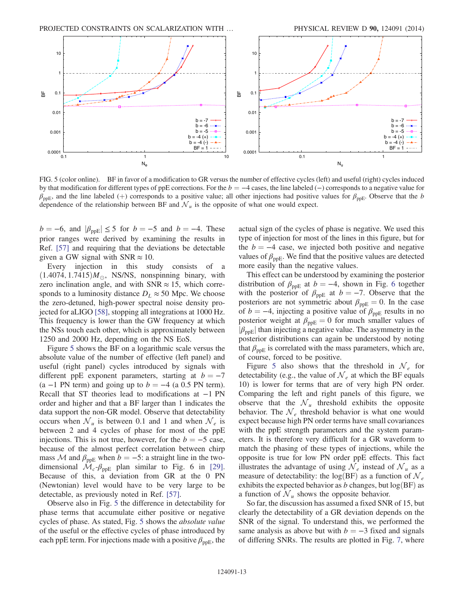

FIG. 5 (color online). BF in favor of a modification to GR versus the number of effective cycles (left) and useful (right) cycles induced by that modification for different types of ppE corrections. For the  $b = -4$  cases, the line labeled (–) corresponds to a negative value for  $\beta_{\text{ppE}}$ , and the line labeled (+) corresponds to a positive value; all other injections had positive values for  $\beta_{\text{ppE}}$ . Observe that the b dependence of the relationship between BF and  $\mathcal{N}_u$  is the opposite of what one would expect.

 $b = -6$ , and  $\vert \beta_{\rm pDE} \vert \leq 5$  for  $b = -5$  and  $b = -4$ . These prior ranges were derived by examining the results in Ref. [57] and requiring that the deviations be detectable given a GW signal with SNR  $\approx$  10.

Every injection in this study consists of a  $(1.4074, 1.7415)M_{\odot}$ , NS/NS, nonspinning binary, with zero inclination angle, and with  $SNR \approx 15$ , which corresponds to a luminosity distance  $D<sub>L</sub> \approx 50$  Mpc. We choose the zero-detuned, high-power spectral noise density projected for aLIGO [58], stopping all integrations at 1000 Hz. This frequency is lower than the GW frequency at which the NSs touch each other, which is approximately between 1250 and 2000 Hz, depending on the NS EoS.

Figure 5 shows the BF on a logarithmic scale versus the absolute value of the number of effective (left panel) and useful (right panel) cycles introduced by signals with different ppE exponent parameters, starting at  $b = -7$ (a −1 PN term) and going up to  $b = -4$  (a 0.5 PN term). Recall that ST theories lead to modifications at −1 PN order and higher and that a BF larger than 1 indicates the data support the non-GR model. Observe that detectability occurs when  $\mathcal{N}_u$  is between 0.1 and 1 and when  $\mathcal{N}_e$  is between 2 and 4 cycles of phase for most of the ppE injections. This is not true, however, for the  $b = -5$  case, because of the almost perfect correlation between chirp mass M and  $\beta_{\text{ppE}}$  when  $b = -5$ : a straight line in the twodimensional  $\mathcal{\hat{M}}_c$ - $\beta_{\text{ppE}}$  plan similar to Fig. 6 in [29]. Because of this, a deviation from GR at the 0 PN (Newtonian) level would have to be very large to be detectable, as previously noted in Ref. [57].

Observe also in Fig. 5 the difference in detectability for phase terms that accumulate either positive or negative cycles of phase. As stated, Fig. 5 shows the absolute value of the useful or the effective cycles of phase introduced by each ppE term. For injections made with a positive  $\beta_{\text{ppE}}$ , the actual sign of the cycles of phase is negative. We used this type of injection for most of the lines in this figure, but for the  $b = -4$  case, we injected both positive and negative values of  $\beta_{\text{ppE}}$ . We find that the positive values are detected more easily than the negative values.

This effect can be understood by examining the posterior distribution of  $\beta_{\text{ppE}}$  at  $b = -4$ , shown in Fig. 6 together with the posterior of  $\beta_{\text{ppE}}$  at  $b = -7$ . Observe that the posteriors are not symmetric about  $\beta_{\text{ppE}} = 0$ . In the case of  $b = -4$ , injecting a positive value of  $\beta_{\text{ppE}}$  results in no posterior weight at  $\beta_{\text{ppE}} = 0$  for much smaller values of  $|\beta_{\text{pDE}}|$  than injecting a negative value. The asymmetry in the posterior distributions can again be understood by noting that  $\beta_{\text{ppE}}$  is correlated with the mass parameters, which are, of course, forced to be positive.

Figure 5 also shows that the threshold in  $\mathcal{N}_e$  for detectability (e.g., the value of  $\mathcal{N}_{e}$  at which the BF equals 10) is lower for terms that are of very high PN order. Comparing the left and right panels of this figure, we observe that the  $\mathcal{N}_u$  threshold exhibits the opposite behavior. The  $N_e$  threshold behavior is what one would expect because high PN order terms have small covariances with the ppE strength parameters and the system parameters. It is therefore very difficult for a GR waveform to match the phasing of these types of injections, while the opposite is true for low PN order ppE effects. This fact illustrates the advantage of using  $\mathcal{N}_e$  instead of  $\mathcal{N}_u$  as a measure of detectability: the log(BF) as a function of  $\mathcal{N}_e$ exhibits the expected behavior as b changes, but  $log(BF)$  as a function of  $\mathcal{N}_u$  shows the opposite behavior.

So far, the discussion has assumed a fixed SNR of 15, but clearly the detectability of a GR deviation depends on the SNR of the signal. To understand this, we performed the same analysis as above but with  $b = -3$  fixed and signals of differing SNRs. The results are plotted in Fig. 7, where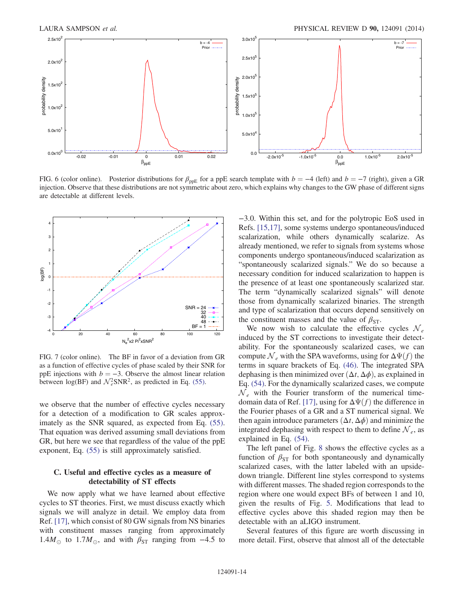

FIG. 6 (color online). Posterior distributions for  $\beta_{\text{ppE}}$  for a ppE search template with  $b = -4$  (left) and  $b = -7$  (right), given a GR injection. Observe that these distributions are not symmetric about zero, which explains why changes to the GW phase of different signs are detectable at different levels.



FIG. 7 (color online). The BF in favor of a deviation from GR as a function of effective cycles of phase scaled by their SNR for ppE injections with  $b = -3$ . Observe the almost linear relation between  $log(BF)$  and  $\mathcal{N}_e^2 SNR^2$ , as predicted in Eq. (55).

we observe that the number of effective cycles necessary for a detection of a modification to GR scales approximately as the SNR squared, as expected from Eq. (55). That equation was derived assuming small deviations from GR, but here we see that regardless of the value of the ppE exponent, Eq. (55) is still approximately satisfied.

## C. Useful and effective cycles as a measure of detectability of ST effects

We now apply what we have learned about effective cycles to ST theories. First, we must discuss exactly which signals we will analyze in detail. We employ data from Ref. [17], which consist of 80 GW signals from NS binaries with constituent masses ranging from approximately 1.4 $M_{\odot}$  to 1.7 $M_{\odot}$ , and with  $\beta_{ST}$  ranging from -4.5 to −3.0. Within this set, and for the polytropic EoS used in Refs. [15,17], some systems undergo spontaneous/induced scalarization, while others dynamically scalarize. As already mentioned, we refer to signals from systems whose components undergo spontaneous/induced scalarization as "spontaneously scalarized signals." We do so because a necessary condition for induced scalarization to happen is the presence of at least one spontaneously scalarized star. The term "dynamically scalarized signals" will denote those from dynamically scalarized binaries. The strength and type of scalarization that occurs depend sensitively on the constituent masses and the value of  $\beta_{ST}$ .

We now wish to calculate the effective cycles  $\mathcal{N}_e$ induced by the ST corrections to investigate their detectability. For the spontaneously scalarized cases, we can compute  $N_e$  with the SPA waveforms, using for  $\Delta \Psi(f)$  the terms in square brackets of Eq. (46). The integrated SPA dephasing is then minimized over  $(\Delta t, \Delta \phi)$ , as explained in Eq. (54). For the dynamically scalarized cases, we compute  $\mathcal{N}_{e}$  with the Fourier transform of the numerical timedomain data of Ref. [17], using for  $\Delta \Psi(f)$  the difference in the Fourier phases of a GR and a ST numerical signal. We then again introduce parameters  $(\Delta t, \Delta \phi)$  and minimize the integrated dephasing with respect to them to define  $N_e$ , as explained in Eq. (54).

The left panel of Fig. 8 shows the effective cycles as a function of  $\beta_{ST}$  for both spontaneously and dynamically scalarized cases, with the latter labeled with an upsidedown triangle. Different line styles correspond to systems with different masses. The shaded region corresponds to the region where one would expect BFs of between 1 and 10, given the results of Fig. 5. Modifications that lead to effective cycles above this shaded region may then be detectable with an aLIGO instrument.

Several features of this figure are worth discussing in more detail. First, observe that almost all of the detectable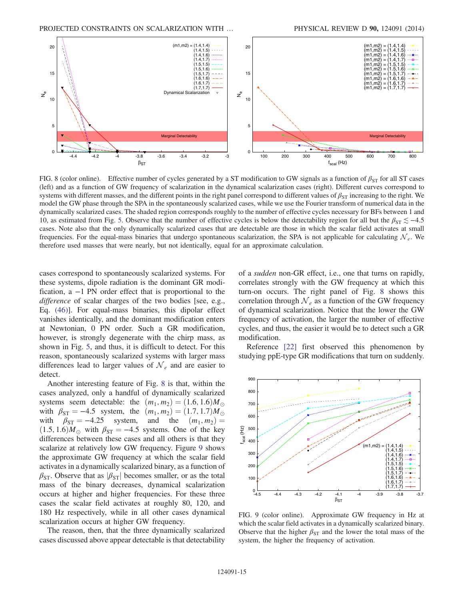

FIG. 8 (color online). Effective number of cycles generated by a ST modification to GW signals as a function of  $\beta_{ST}$  for all ST cases (left) and as a function of GW frequency of scalarization in the dynamical scalarization cases (right). Different curves correspond to systems with different masses, and the different points in the right panel correspond to different values of  $\beta_{ST}$  increasing to the right. We model the GW phase through the SPA in the spontaneously scalarized cases, while we use the Fourier transform of numerical data in the dynamically scalarized cases. The shaded region corresponds roughly to the number of effective cycles necessary for BFs between 1 and 10, as estimated from Fig. 5. Observe that the number of effective cycles is below the detectability region for all but the  $\beta_{ST} \lesssim -4.5$ cases. Note also that the only dynamically scalarized cases that are detectable are those in which the scalar field activates at small frequencies. For the equal-mass binaries that undergo spontaneous scalarization, the SPA is not applicable for calculating  $\mathcal{N}_e$ . We therefore used masses that were nearly, but not identically, equal for an approximate calculation.

cases correspond to spontaneously scalarized systems. For these systems, dipole radiation is the dominant GR modification, a −1 PN order effect that is proportional to the difference of scalar charges of the two bodies [see, e.g., Eq. (46)]. For equal-mass binaries, this dipolar effect vanishes identically, and the dominant modification enters at Newtonian, 0 PN order. Such a GR modification, however, is strongly degenerate with the chirp mass, as shown in Fig. 5, and thus, it is difficult to detect. For this reason, spontaneously scalarized systems with larger mass differences lead to larger values of  $\mathcal{N}_e$  and are easier to detect.

Another interesting feature of Fig. 8 is that, within the cases analyzed, only a handful of dynamically scalarized systems seem detectable: the  $(m_1, m_2) = (1.6, 1.6)M_{\odot}$ with  $\beta_{ST} = -4.5$  system, the  $(m_1, m_2) = (1.7, 1.7)M_{\odot}$ with  $\beta_{ST} = -4.25$  system, and the  $(m_1, m_2) =$  $(1.5, 1.6)M_{\odot}$  with  $\beta_{ST} = -4.5$  systems. One of the key differences between these cases and all others is that they scalarize at relatively low GW frequency. Figure 9 shows the approximate GW frequency at which the scalar field activates in a dynamically scalarized binary, as a function of  $\beta_{ST}$ . Observe that as  $|\beta_{ST}|$  becomes smaller, or as the total mass of the binary decreases, dynamical scalarization occurs at higher and higher frequencies. For these three cases the scalar field activates at roughly 80, 120, and 180 Hz respectively, while in all other cases dynamical scalarization occurs at higher GW frequency.

The reason, then, that the three dynamically scalarized cases discussed above appear detectable is that detectability of a sudden non-GR effect, i.e., one that turns on rapidly, correlates strongly with the GW frequency at which this turn-on occurs. The right panel of Fig. 8 shows this correlation through  $N_e$  as a function of the GW frequency of dynamical scalarization. Notice that the lower the GW frequency of activation, the larger the number of effective cycles, and thus, the easier it would be to detect such a GR modification.

Reference [22] first observed this phenomenon by studying ppE-type GR modifications that turn on suddenly.



FIG. 9 (color online). Approximate GW frequency in Hz at which the scalar field activates in a dynamically scalarized binary. Observe that the higher  $\beta_{ST}$  and the lower the total mass of the system, the higher the frequency of activation.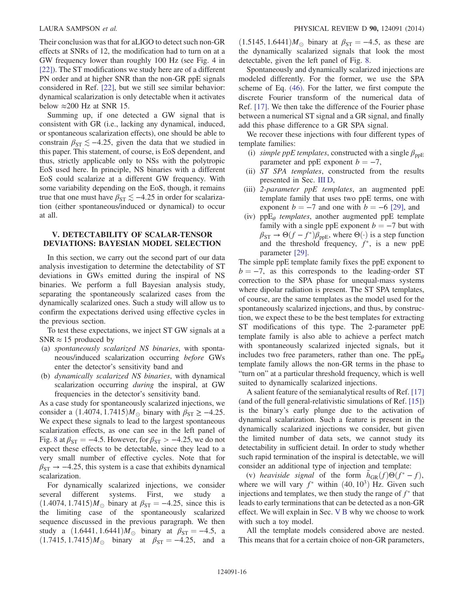Their conclusion was that for aLIGO to detect such non-GR effects at SNRs of 12, the modification had to turn on at a GW frequency lower than roughly 100 Hz (see Fig. 4 in [22]). The ST modifications we study here are of a different PN order and at higher SNR than the non-GR ppE signals considered in Ref. [22], but we still see similar behavior: dynamical scalarization is only detectable when it activates below  $\approx$  200 Hz at SNR 15.

Summing up, if one detected a GW signal that is consistent with GR (i.e., lacking any dynamical, induced, or spontaneous scalarization effects), one should be able to constrain  $\beta_{ST} \lesssim -4.25$ , given the data that we studied in this paper. This statement, of course, is EoS dependent, and thus, strictly applicable only to NSs with the polytropic EoS used here. In principle, NS binaries with a different EoS could scalarize at a different GW frequency. With some variability depending on the EoS, though, it remains true that one must have  $\beta_{ST} \leq -4.25$  in order for scalarization (either spontaneous/induced or dynamical) to occur at all.

## V. DETECTABILITY OF SCALAR-TENSOR DEVIATIONS: BAYESIAN MODEL SELECTION

In this section, we carry out the second part of our data analysis investigation to determine the detectability of ST deviations in GWs emitted during the inspiral of NS binaries. We perform a full Bayesian analysis study, separating the spontaneously scalarized cases from the dynamically scalarized ones. Such a study will allow us to confirm the expectations derived using effective cycles in the previous section.

To test these expectations, we inject ST GW signals at a SNR  $\approx$  15 produced by

- (a) spontaneously scalarized NS binaries, with spontaneous/induced scalarization occurring before GWs enter the detector's sensitivity band and
- (b) dynamically scalarized NS binaries, with dynamical scalarization occurring *during* the inspiral, at GW frequencies in the detector's sensitivity band.

As a case study for spontaneously scalarized injections, we consider a  $(1.4074, 1.7415)M_{\odot}$  binary with  $\beta_{ST} \ge -4.25$ . We expect these signals to lead to the largest spontaneous scalarization effects, as one can see in the left panel of Fig. 8 at  $\beta_{ST} = -4.5$ . However, for  $\beta_{ST} > -4.25$ , we do not expect these effects to be detectable, since they lead to a very small number of effective cycles. Note that for  $\beta_{ST} \rightarrow -4.25$ , this system is a case that exhibits dynamical scalarization.

For dynamically scalarized injections, we consider several different systems. First, we study a  $(1.4074, 1.7415)M_{\odot}$  binary at  $\beta_{ST} = -4.25$ , since this is the limiting case of the spontaneously scalarized sequence discussed in the previous paragraph. We then study a  $(1.6441, 1.6441)M_{\odot}$  binary at  $\beta_{ST} = -4.5$ , a  $(1.7415, 1.7415)M_{\odot}$  binary at  $\beta_{ST} = -4.25$ , and a  $(1.5145, 1.6441)M_{\odot}$  binary at  $\beta_{ST} = -4.5$ , as these are the dynamically scalarized signals that look the most detectable, given the left panel of Fig. 8.

Spontaneously and dynamically scalarized injections are modeled differently. For the former, we use the SPA scheme of Eq. (46). For the latter, we first compute the discrete Fourier transform of the numerical data of Ref. [17]. We then take the difference of the Fourier phase between a numerical ST signal and a GR signal, and finally add this phase difference to a GR SPA signal.

We recover these injections with four different types of template families:

- (i) simple ppE templates, constructed with a single  $\beta_{\text{pDE}}$ parameter and ppE exponent  $b = -7$ ,
- (ii) ST SPA templates, constructed from the results presented in Sec. III D,
- (iii) 2-*parameter ppE templates*, an augmented ppE template family that uses two ppE terms, one with exponent  $b = -7$  and one with  $b = -6$  [29], and
- (iv)  $ppE_\theta$  templates, another augmented ppE template family with a single ppE exponent  $b = -7$  but with  $\beta_{ST} \rightarrow \Theta(f - f^*) \beta_{\text{ppE}}$ , where  $\Theta(\cdot)$  is a step function and the threshold frequency,  $f^*$ , is a new ppE parameter [29].

The simple ppE template family fixes the ppE exponent to  $b = -7$ , as this corresponds to the leading-order ST correction to the SPA phase for unequal-mass systems where dipolar radiation is present. The ST SPA templates, of course, are the same templates as the model used for the spontaneously scalarized injections, and thus, by construction, we expect these to be the best templates for extracting ST modifications of this type. The 2-parameter ppE template family is also able to achieve a perfect match with spontaneously scalarized injected signals, but it includes two free parameters, rather than one. The  $ppE_{\theta}$ template family allows the non-GR terms in the phase to "turn on" at a particular threshold frequency, which is well suited to dynamically scalarized injections.

A salient feature of the semianalytical results of Ref. [17] (and of the full general-relativistic simulations of Ref. [15]) is the binary's early plunge due to the activation of dynamical scalarization. Such a feature is present in the dynamically scalarized injections we consider, but given the limited number of data sets, we cannot study its detectability in sufficient detail. In order to study whether such rapid termination of the inspiral is detectable, we will consider an additional type of injection and template:

(v) heaviside signal of the form  $\tilde{h}_{GR}(f)\Theta(f^*-f)$ , where we will vary  $f^*$  within  $(40, 10^3)$  Hz. Given such injections and templates, we then study the range of  $f^*$  that leads to early terminations that can be detected as a non-GR effect. We will explain in Sec. V B why we choose to work with such a toy model.

All the template models considered above are nested. This means that for a certain choice of non-GR parameters,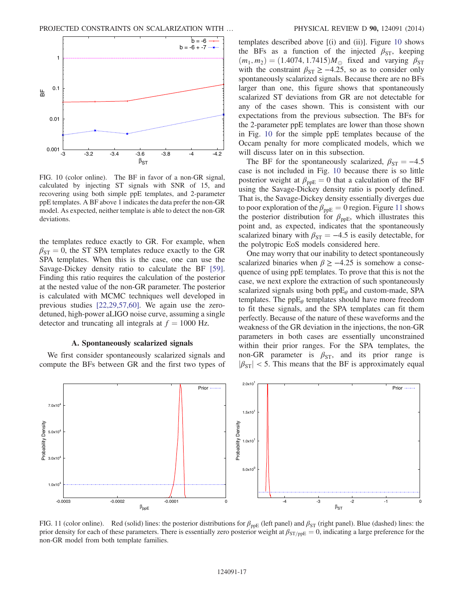

FIG. 10 (color online). The BF in favor of a non-GR signal, calculated by injecting ST signals with SNR of 15, and recovering using both simple ppE templates, and 2-parameter ppE templates. A BF above 1 indicates the data prefer the non-GR model. As expected, neither template is able to detect the non-GR deviations.

the templates reduce exactly to GR. For example, when  $\beta_{ST} = 0$ , the ST SPA templates reduce exactly to the GR SPA templates. When this is the case, one can use the Savage-Dickey density ratio to calculate the BF [59]. Finding this ratio requires the calculation of the posterior at the nested value of the non-GR parameter. The posterior is calculated with MCMC techniques well developed in previous studies [22,29,57,60]. We again use the zerodetuned, high-power aLIGO noise curve, assuming a single detector and truncating all integrals at  $f = 1000$  Hz.

#### A. Spontaneously scalarized signals

We first consider spontaneously scalarized signals and compute the BFs between GR and the first two types of templates described above [(i) and (ii)]. Figure 10 shows the BFs as a function of the injected  $\beta_{ST}$ , keeping  $(m_1, m_2) = (1.4074, 1.7415)M_{\odot}$  fixed and varying  $\beta_{ST}$ with the constraint  $\beta_{ST} \ge -4.25$ , so as to consider only spontaneously scalarized signals. Because there are no BFs larger than one, this figure shows that spontaneously scalarized ST deviations from GR are not detectable for any of the cases shown. This is consistent with our expectations from the previous subsection. The BFs for the 2-parameter ppE templates are lower than those shown in Fig. 10 for the simple ppE templates because of the Occam penalty for more complicated models, which we will discuss later on in this subsection.

The BF for the spontaneously scalarized,  $\beta_{ST} = -4.5$ case is not included in Fig. 10 because there is so little posterior weight at  $\beta_{\text{ppE}} = 0$  that a calculation of the BF using the Savage-Dickey density ratio is poorly defined. That is, the Savage-Dickey density essentially diverges due to poor exploration of the  $\beta_{\text{ppE}} = 0$  region. Figure 11 shows the posterior distribution for  $\beta_{\text{pDE}}$ , which illustrates this point and, as expected, indicates that the spontaneously scalarized binary with  $\beta_{ST} = -4.5$  is easily detectable, for the polytropic EoS models considered here.

One may worry that our inability to detect spontaneously scalarized binaries when  $\beta \ge -4.25$  is somehow a consequence of using ppE templates. To prove that this is not the case, we next explore the extraction of such spontaneously scalarized signals using both  $ppE_\theta$  and custom-made, SPA templates. The  $ppE_\theta$  templates should have more freedom to fit these signals, and the SPA templates can fit them perfectly. Because of the nature of these waveforms and the weakness of the GR deviation in the injections, the non-GR parameters in both cases are essentially unconstrained within their prior ranges. For the SPA templates, the non-GR parameter is  $\beta_{ST}$ , and its prior range is  $|\beta_{ST}|$  < 5. This means that the BF is approximately equal



FIG. 11 (color online). Red (solid) lines: the posterior distributions for  $\beta_{\text{ppE}}$  (left panel) and  $\beta_{\text{ST}}$  (right panel). Blue (dashed) lines: the prior density for each of these parameters. There is essentially zero posterior weight at  $\beta_{ST/ppE} = 0$ , indicating a large preference for the non-GR model from both template families.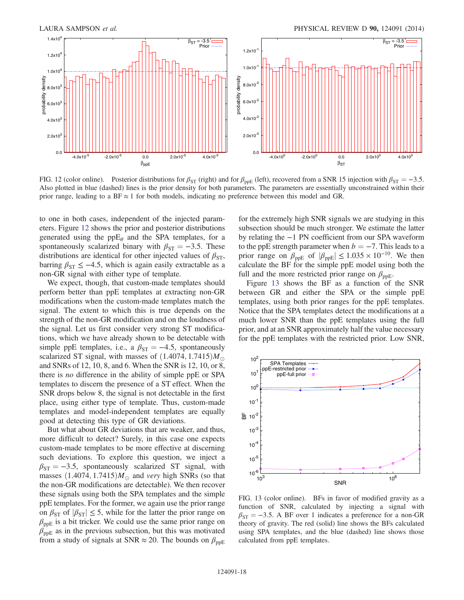

FIG. 12 (color online). Posterior distributions for  $\beta_{ST}$  (right) and for  $\beta_{pDE}$  (left), recovered from a SNR 15 injection with  $\beta_{ST} = -3.5$ . Also plotted in blue (dashed) lines is the prior density for both parameters. The parameters are essentially unconstrained within their prior range, leading to a  $BF \approx 1$  for both models, indicating no preference between this model and GR.

to one in both cases, independent of the injected parameters. Figure 12 shows the prior and posterior distributions generated using the  $ppE_\theta$  and the SPA templates, for a spontaneously scalarized binary with  $\beta_{ST} = -3.5$ . These distributions are identical for other injected values of  $\beta_{ST}$ , barring  $\beta_{ST} \leq -4.5$ , which is again easily extractable as a non-GR signal with either type of template.

We expect, though, that custom-made templates should perform better than ppE templates at extracting non-GR modifications when the custom-made templates match the signal. The extent to which this is true depends on the strength of the non-GR modification and on the loudness of the signal. Let us first consider very strong ST modifications, which we have already shown to be detectable with simple ppE templates, i.e., a  $\beta_{ST} = -4.5$ , spontaneously scalarized ST signal, with masses of  $(1.4074, 1.7415)M_{\odot}$ and SNRs of 12, 10, 8, and 6. When the SNR is 12, 10, or 8, there is no difference in the ability of simple ppE or SPA templates to discern the presence of a ST effect. When the SNR drops below 8, the signal is not detectable in the first place, using either type of template. Thus, custom-made templates and model-independent templates are equally good at detecting this type of GR deviations.

But what about GR deviations that are weaker, and thus, more difficult to detect? Surely, in this case one expects custom-made templates to be more effective at discerning such deviations. To explore this question, we inject a  $\beta_{ST} = -3.5$ , spontaneously scalarized ST signal, with masses  $(1.4074, 1.7415)M_{\odot}$  and very high SNRs (so that the non-GR modifications are detectable). We then recover these signals using both the SPA templates and the simple ppE templates. For the former, we again use the prior range on  $\beta_{ST}$  of  $|\beta_{ST}| \leq 5$ , while for the latter the prior range on  $\beta_{\text{ppE}}$  is a bit tricker. We could use the same prior range on  $\beta_{\text{pDE}}$  as in the previous subsection, but this was motivated from a study of signals at SNR  $\approx$  20. The bounds on  $\beta_{\text{ppE}}$ 

for the extremely high SNR signals we are studying in this subsection should be much stronger. We estimate the latter by relating the −1 PN coefficient from our SPA waveform to the ppE strength parameter when  $b = -7$ . This leads to a prior range on  $\beta_{\text{ppE}}$  of  $|\beta_{\text{ppE}}| \leq 1.035 \times 10^{-10}$ . We then calculate the BF for the simple ppE model using both the full and the more restricted prior range on  $\beta_{\text{ppE}}$ .

Figure 13 shows the BF as a function of the SNR between GR and either the SPA or the simple ppE templates, using both prior ranges for the ppE templates. Notice that the SPA templates detect the modifications at a much lower SNR than the ppE templates using the full prior, and at an SNR approximately half the value necessary for the ppE templates with the restricted prior. Low SNR,



FIG. 13 (color online). BFs in favor of modified gravity as a function of SNR, calculated by injecting a signal with  $\beta_{ST} = -3.5$ . A BF over 1 indicates a preference for a non-GR theory of gravity. The red (solid) line shows the BFs calculated using SPA templates, and the blue (dashed) line shows those calculated from ppE templates.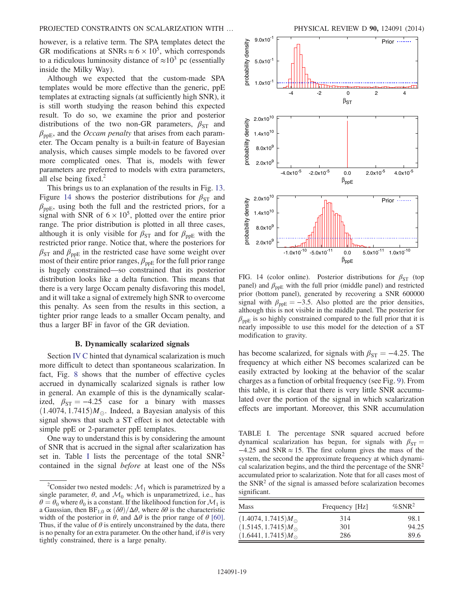however, is a relative term. The SPA templates detect the GR modifications at SNRs  $\approx 6 \times 10^5$ , which corresponds to a ridiculous luminosity distance of  $\approx 10^3$  pc (essentially inside the Milky Way).

Although we expected that the custom-made SPA templates would be more effective than the generic, ppE templates at extracting signals (at sufficiently high SNR), it is still worth studying the reason behind this expected result. To do so, we examine the prior and posterior distributions of the two non-GR parameters,  $\beta_{ST}$  and  $\beta_{\text{pDE}}$ , and the *Occam penalty* that arises from each parameter. The Occam penalty is a built-in feature of Bayesian analysis, which causes simple models to be favored over more complicated ones. That is, models with fewer parameters are preferred to models with extra parameters, all else being fixed.<sup>2</sup>

This brings us to an explanation of the results in Fig. 13. Figure 14 shows the posterior distributions for  $\beta_{ST}$  and  $\beta_{\text{pp}}$ , using both the full and the restricted priors, for a signal with SNR of  $6 \times 10^5$ , plotted over the entire prior range. The prior distribution is plotted in all three cases, although it is only visible for  $\beta_{ST}$  and for  $\beta_{\text{ppE}}$  with the restricted prior range. Notice that, where the posteriors for  $\beta_{\text{ST}}$  and  $\beta_{\text{ppE}}$  in the restricted case have some weight over most of their entire prior ranges,  $\beta_{\text{ppE}}$  for the full prior range is hugely constrained—so constrained that its posterior distribution looks like a delta function. This means that there is a very large Occam penalty disfavoring this model, and it will take a signal of extremely high SNR to overcome this penalty. As seen from the results in this section, a tighter prior range leads to a smaller Occam penalty, and thus a larger BF in favor of the GR deviation.

#### B. Dynamically scalarized signals

Section IV C hinted that dynamical scalarization is much more difficult to detect than spontaneous scalarization. In fact, Fig. 8 shows that the number of effective cycles accrued in dynamically scalarized signals is rather low in general. An example of this is the dynamically scalarized,  $\beta_{ST} = -4.25$  case for a binary with masses  $(1.4074, 1.7415)M_{\odot}$ . Indeed, a Bayesian analysis of this signal shows that such a ST effect is not detectable with simple ppE or 2-parameter ppE templates.

One way to understand this is by considering the amount of SNR that is accrued in the signal after scalarization has set in. Table I lists the percentage of the total  $SNR<sup>2</sup>$ contained in the signal before at least one of the NSs



FIG. 14 (color online). Posterior distributions for  $\beta_{ST}$  (top panel) and  $\beta_{\text{ppE}}$  with the full prior (middle panel) and restricted prior (bottom panel), generated by recovering a SNR 600000 signal with  $\beta_{\text{ppE}} = -3.5$ . Also plotted are the prior densities, although this is not visible in the middle panel. The posterior for  $\beta_{\text{ppE}}$  is so highly constrained compared to the full prior that it is nearly impossible to use this model for the detection of a ST modification to gravity.

has become scalarized, for signals with  $\beta_{ST} = -4.25$ . The frequency at which either NS becomes scalarized can be easily extracted by looking at the behavior of the scalar charges as a function of orbital frequency (see Fig. 9). From this table, it is clear that there is very little SNR accumulated over the portion of the signal in which scalarization effects are important. Moreover, this SNR accumulation

TABLE I. The percentage SNR squared accrued before dynamical scalarization has begun, for signals with  $\beta_{ST}$  =  $-4.25$  and SNR  $\approx 15$ . The first column gives the mass of the system, the second the approximate frequency at which dynamical scalarization begins, and the third the percentage of the SNR<sup>2</sup> accumulated prior to scalarization. Note that for all cases most of the  $SNR<sup>2</sup>$  of the signal is amassed before scalarization becomes significant.

| <b>Mass</b>                 | Frequency [Hz] | %SNR <sup>2</sup> |  |
|-----------------------------|----------------|-------------------|--|
| $(1.4074, 1.7415)M_{\odot}$ | 314            | 98.1              |  |
| $(1.5145, 1.7415)M_{\odot}$ | 301            | 94.25             |  |
| $(1.6441, 1.7415)M_{\odot}$ | 286            | 89.6              |  |

<sup>&</sup>lt;sup>2</sup> Consider two nested models:  $\mathcal{M}_1$  which is parametrized by a single parameter,  $\theta$ , and  $\mathcal{M}_0$  which is unparametrized, i.e., has  $\theta = \theta_0$  where  $\theta_0$  is a constant. If the likelihood function for  $\mathcal{M}_1$  is a Gaussian, then BF<sub>1,0</sub>  $\propto (\delta \theta)/\Delta \theta$ , where  $\delta \theta$  is the characteristic width of the posterior in  $\theta$ , and  $\Delta\theta$  is the prior range of  $\theta$  [60]. Thus, if the value of  $\theta$  is entirely unconstrained by the data, there is no penalty for an extra parameter. On the other hand, if  $\theta$  is very tightly constrained, there is a large penalty.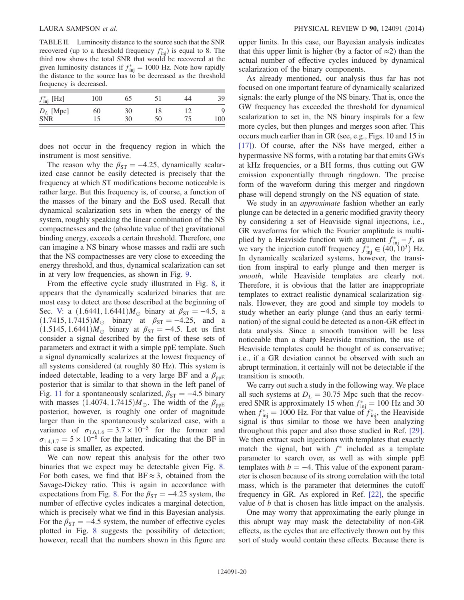TABLE II. Luminosity distance to the source such that the SNR recovered (up to a threshold frequency  $f_{\text{inj}}^*$ ) is equal to 8. The third row shows the total SNR that would be recovered at the given luminosity distances if  $f_{\text{inj}}^* = 1000$  Hz. Note how rapidly the distance to the source has to be decreased as the threshold frequency is decreased.

| $f_{\text{inj}}^*$ [Hz] | 100 | 65 | 51 | 44 | 39             |
|-------------------------|-----|----|----|----|----------------|
| $D_L$ [Mpc]             | 60  | 30 | 18 |    | 9              |
| <b>SNR</b>              | 15  | 30 | 50 | 75 | 0 <sup>0</sup> |

does not occur in the frequency region in which the instrument is most sensitive.

The reason why the  $\beta_{ST} = -4.25$ , dynamically scalarized case cannot be easily detected is precisely that the frequency at which ST modifications become noticeable is rather large. But this frequency is, of course, a function of the masses of the binary and the EoS used. Recall that dynamical scalarization sets in when the energy of the system, roughly speaking the linear combination of the NS compactnesses and the (absolute value of the) gravitational binding energy, exceeds a certain threshold. Therefore, one can imagine a NS binary whose masses and radii are such that the NS compactnesses are very close to exceeding the energy threshold, and thus, dynamical scalarization can set in at very low frequencies, as shown in Fig. 9.

From the effective cycle study illustrated in Fig. 8, it appears that the dynamically scalarized binaries that are most easy to detect are those described at the beginning of Sec. V: a  $(1.6441, 1.6441)M_{\odot}$  binary at  $\beta_{ST} = -4.5$ , a  $(1.7415, 1.7415)M_{\odot}$  binary at  $\beta_{ST} = -4.25$ , and a  $(1.5145, 1.6441)M_{\odot}$  binary at  $\beta_{ST} = -4.5$ . Let us first consider a signal described by the first of these sets of parameters and extract it with a simple ppE template. Such a signal dynamically scalarizes at the lowest frequency of all systems considered (at roughly 80 Hz). This system is indeed detectable, leading to a very large BF and a  $\beta_{\text{pDE}}$ posterior that is similar to that shown in the left panel of Fig. 11 for a spontaneously scalarized,  $\beta_{ST} = -4.5$  binary with masses  $(1.4074, 1.7415)M_{\odot}$ . The width of the  $\beta_{\text{pDE}}$ posterior, however, is roughly one order of magnitude larger than in the spontaneously scalarized case, with a variance of  $\sigma_{1.6,1.6} = 3.7 \times 10^{-5}$  for the former and  $\sigma_{1,4,1.7} = 5 \times 10^{-6}$  for the latter, indicating that the BF in this case is smaller, as expected.

We can now repeat this analysis for the other two binaries that we expect may be detectable given Fig. 8. For both cases, we find that BF  $\approx$  3, obtained from the Savage-Dickey ratio. This is again in accordance with expectations from Fig. 8. For the  $\beta_{ST} = -4.25$  system, the number of effective cycles indicates a marginal detection, which is precisely what we find in this Bayesian analysis. For the  $\beta_{ST} = -4.5$  system, the number of effective cycles plotted in Fig. 8 suggests the possibility of detection; however, recall that the numbers shown in this figure are upper limits. In this case, our Bayesian analysis indicates that this upper limit is higher (by a factor of  $\approx$ 2) than the actual number of effective cycles induced by dynamical scalarization of the binary components.

As already mentioned, our analysis thus far has not focused on one important feature of dynamically scalarized signals: the early plunge of the NS binary. That is, once the GW frequency has exceeded the threshold for dynamical scalarization to set in, the NS binary inspirals for a few more cycles, but then plunges and merges soon after. This occurs much earlier than in GR (see, e.g., Figs. 10 and 15 in [17]). Of course, after the NSs have merged, either a hypermassive NS forms, with a rotating bar that emits GWs at kHz frequencies, or a BH forms, thus cutting out GW emission exponentially through ringdown. The precise form of the waveform during this merger and ringdown phase will depend strongly on the NS equation of state.

We study in an *approximate* fashion whether an early plunge can be detected in a generic modified gravity theory by considering a set of Heaviside signal injections, i.e., GR waveforms for which the Fourier amplitude is multiplied by a Heaviside function with argument  $f_{\text{inj}}^* - f$ , as we vary the injection cutoff frequency  $f_{\text{inj}}^* \in (40, 10^3)$  Hz. In dynamically scalarized systems, however, the transition from inspiral to early plunge and then merger is smooth, while Heaviside templates are clearly not. Therefore, it is obvious that the latter are inappropriate templates to extract realistic dynamical scalarization signals. However, they are good and simple toy models to study whether an early plunge (and thus an early termination) of the signal could be detected as a non-GR effect in data analysis. Since a smooth transition will be less noticeable than a sharp Heaviside transition, the use of Heaviside templates could be thought of as conservative; i.e., if a GR deviation cannot be observed with such an abrupt termination, it certainly will not be detectable if the transition is smooth.

We carry out such a study in the following way. We place all such systems at  $D_L = 30.75$  Mpc such that the recovered SNR is approximately 15 when  $f_{\text{inj}}^* = 100$  Hz and 30 when  $f_{\text{inj}}^* = 1000$  Hz. For that value of  $f_{\text{inj}}^*$ , the Heaviside signal is thus similar to those we have been analyzing throughout this paper and also those studied in Ref. [29]. We then extract such injections with templates that exactly match the signal, but with  $f^*$  included as a template parameter to search over, as well as with simple ppE templates with  $b = -4$ . This value of the exponent parameter is chosen because of its strong correlation with the total mass, which is the parameter that determines the cutoff frequency in GR. As explored in Ref. [22], the specific value of *b* that is chosen has little impact on the analysis.

One may worry that approximating the early plunge in this abrupt way may mask the detectability of non-GR effects, as the cycles that are effectively thrown out by this sort of study would contain these effects. Because there is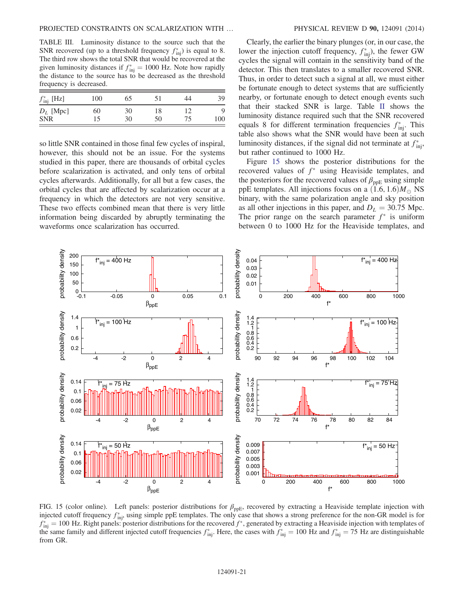TABLE III. Luminosity distance to the source such that the SNR recovered (up to a threshold frequency  $f_{\text{inj}}^*$ ) is equal to 8. The third row shows the total SNR that would be recovered at the given luminosity distances if  $f_{\text{inj}}^* = 1000$  Hz. Note how rapidly the distance to the source has to be decreased as the threshold frequency is decreased.

| $f_{\text{inj}}^*$ [Hz] | 100 | 65 | 51 | 44 | 39  |
|-------------------------|-----|----|----|----|-----|
| $D_L$ [Mpc]             | 60  | 30 | 18 |    | 9   |
| <b>SNR</b>              | 15  | 30 | 50 | 75 | 100 |

so little SNR contained in those final few cycles of inspiral, however, this should not be an issue. For the systems studied in this paper, there are thousands of orbital cycles before scalarization is activated, and only tens of orbital cycles afterwards. Additionally, for all but a few cases, the orbital cycles that are affected by scalarization occur at a frequency in which the detectors are not very sensitive. These two effects combined mean that there is very little information being discarded by abruptly terminating the waveforms once scalarization has occurred.

Clearly, the earlier the binary plunges (or, in our case, the lower the injection cutoff frequency,  $f_{\text{inj}}^*$ ), the fewer GW cycles the signal will contain in the sensitivity band of the detector. This then translates to a smaller recovered SNR. Thus, in order to detect such a signal at all, we must either be fortunate enough to detect systems that are sufficiently nearby, or fortunate enough to detect enough events such that their stacked SNR is large. Table II shows the luminosity distance required such that the SNR recovered equals 8 for different termination frequencies  $f_{\text{inj}}^*$ . This table also shows what the SNR would have been at such luminosity distances, if the signal did not terminate at  $f_{\text{inj}}^*$ , but rather continued to 1000 Hz.

Figure 15 shows the posterior distributions for the recovered values of  $f^*$  using Heaviside templates, and the posteriors for the recovered values of  $\beta_{\text{ppE}}$  using simple ppE templates. All injections focus on a  $(1.6, 1.6)M_{\odot}$  NS binary, with the same polarization angle and sky position as all other injections in this paper, and  $D_L = 30.75$  Mpc. The prior range on the search parameter  $f^*$  is uniform between 0 to 1000 Hz for the Heaviside templates, and



FIG. 15 (color online). Left panels: posterior distributions for  $\beta_{\text{ppE}}$ , recovered by extracting a Heaviside template injection with injected cutoff frequency  $f_{\text{inj}}^*$ , using simple ppE templates. The only case that shows a strong preference for the non-GR model is for  $f_{\text{inj}}^* = 100$  Hz. Right panels: posterior distributions for the recovered  $f^*$ , generated by extracting a Heaviside injection with templates of the same family and different injected cutoff frequencies  $f_{\text{inj}}^*$ . Here, the cases with  $f_{\text{inj}}^* = 100$  Hz and  $f_{\text{inj}}^* = 75$  Hz are distinguishable from GR.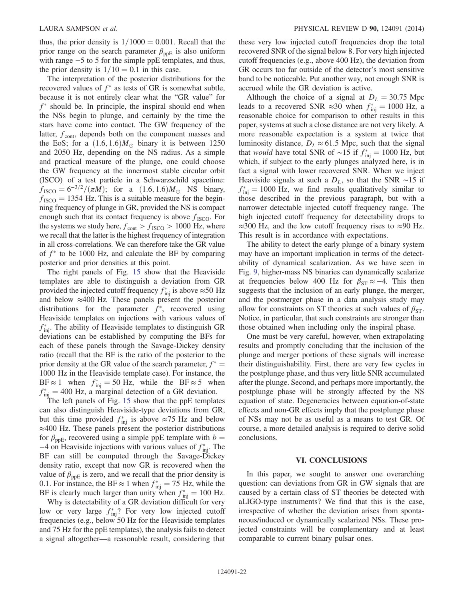thus, the prior density is  $1/1000 = 0.001$ . Recall that the prior range on the search parameter  $\beta_{\text{ppE}}$  is also uniform with range −5 to 5 for the simple ppE templates, and thus, the prior density is  $1/10 = 0.1$  in this case.

The interpretation of the posterior distributions for the recovered values of  $f^*$  as tests of GR is somewhat subtle, because it is not entirely clear what the "GR value" for  $f^*$  should be. In principle, the inspiral should end when the NSs begin to plunge, and certainly by the time the stars have come into contact. The GW frequency of the latter,  $f_{\text{cont}}$ , depends both on the component masses and the EoS; for a  $(1.6, 1.6)M_{\odot}$  binary it is between 1250 and 2050 Hz, depending on the NS radius. As a simple and practical measure of the plunge, one could choose the GW frequency at the innermost stable circular orbit (ISCO) of a test particle in a Schwarzschild spacetime:  $f_{\text{ISCO}} = 6^{-3/2} / (\pi M);$  for a  $(1.6, 1.6) M_{\odot}$  NS binary,  $f_{\text{ISCO}} = 1354$  Hz. This is a suitable measure for the beginning frequency of plunge in GR, provided the NS is compact enough such that its contact frequency is above  $f_{\text{ISCO}}$ . For the systems we study here,  $f_{\text{cont}} > f_{\text{ISCO}} > 1000$  Hz, where we recall that the latter is the highest frequency of integration in all cross-correlations. We can therefore take the GR value of  $f^*$  to be 1000 Hz, and calculate the BF by comparing posterior and prior densities at this point.

The right panels of Fig. 15 show that the Heaviside templates are able to distinguish a deviation from GR provided the injected cutoff frequency  $f_{\text{inj}}^*$  is above  $\approx$  50 Hz and below ≈400 Hz. These panels present the posterior distributions for the parameter  $f^*$ , recovered using Heaviside templates on injections with various values of  $f_{\text{inj}}^*$ . The ability of Heaviside templates to distinguish GR deviations can be established by computing the BFs for each of these panels through the Savage-Dickey density ratio (recall that the BF is the ratio of the posterior to the prior density at the GR value of the search parameter,  $f^* =$ 1000 Hz in the Heaviside template case). For instance, the  $BF \approx 1$  when  $f_{\text{inj}}^* = 50$  Hz, while the BF  $\approx 5$  when  $f_{\text{inj}}^* = 400$  Hz, a marginal detection of a GR deviation.

The left panels of Fig. 15 show that the ppE templates can also distinguish Heaviside-type deviations from GR, but this time provided  $f_{\text{inj}}^*$  is above  $\approx 75$  Hz and below ≈400 Hz. These panels present the posterior distributions for  $\beta_{\text{ppE}}$ , recovered using a simple ppE template with  $b =$  $-4$  on Heaviside injections with various values of  $f_{\text{inj}}^*$ . The BF can still be computed through the Savage-Dickey density ratio, except that now GR is recovered when the value of  $\beta_{\text{ppE}}$  is zero, and we recall that the prior density is 0.1. For instance, the BF  $\approx$  1 when  $f_{\text{inj}}^* = 75$  Hz, while the BF is clearly much larger than unity when  $f_{\text{inj}}^* = 100$  Hz.

Why is detectability of a GR deviation difficult for very low or very large  $f_{\text{inj}}^*$ ? For very low injected cutoff frequencies (e.g., below 50 Hz for the Heaviside templates and 75 Hz for the ppE templates), the analysis fails to detect a signal altogether—a reasonable result, considering that these very low injected cutoff frequencies drop the total recovered SNR of the signal below 8. For very high injected cutoff frequencies (e.g., above 400 Hz), the deviation from GR occurs too far outside of the detector's most sensitive band to be noticeable. Put another way, not enough SNR is accrued while the GR deviation is active.

Although the choice of a signal at  $D_L = 30.75$  Mpc leads to a recovered SNR  $\approx 30$  when  $f_{\text{inj}}^* = 1000$  Hz, a reasonable choice for comparison to other results in this paper, systems at such a close distance are not very likely. A more reasonable expectation is a system at twice that luminosity distance,  $D_L \approx 61.5$  Mpc, such that the signal that *would* have total SNR of ~15 if  $f_{\text{inj}}^* = 1000$  Hz, but which, if subject to the early plunges analyzed here, is in fact a signal with lower recovered SNR. When we inject Heaviside signals at such a  $D<sub>L</sub>$ , so that the SNR ~15 if  $f_{\text{inj}}^* = 1000 \text{ Hz}$ , we find results qualitatively similar to those described in the previous paragraph, but with a narrower detectable injected cutoff frequency range. The high injected cutoff frequency for detectability drops to  $\approx$ 300 Hz, and the low cutoff frequency rises to  $\approx$ 90 Hz. This result is in accordance with expectations.

The ability to detect the early plunge of a binary system may have an important implication in terms of the detectability of dynamical scalarization. As we have seen in Fig. 9, higher-mass NS binaries can dynamically scalarize at frequencies below 400 Hz for  $\beta_{ST} \approx -4$ . This then suggests that the inclusion of an early plunge, the merger, and the postmerger phase in a data analysis study may allow for constraints on ST theories at such values of  $\beta_{ST}$ . Notice, in particular, that such constraints are stronger than those obtained when including only the inspiral phase.

One must be very careful, however, when extrapolating results and promptly concluding that the inclusion of the plunge and merger portions of these signals will increase their distinguishability. First, there are very few cycles in the postplunge phase, and thus very little SNR accumulated after the plunge. Second, and perhaps more importantly, the postplunge phase will be strongly affected by the NS equation of state. Degeneracies between equation-of-state effects and non-GR effects imply that the postplunge phase of NSs may not be as useful as a means to test GR. Of course, a more detailed analysis is required to derive solid conclusions.

#### VI. CONCLUSIONS

In this paper, we sought to answer one overarching question: can deviations from GR in GW signals that are caused by a certain class of ST theories be detected with aLIGO-type instruments? We find that this is the case, irrespective of whether the deviation arises from spontaneous/induced or dynamically scalarized NSs. These projected constraints will be complementary and at least comparable to current binary pulsar ones.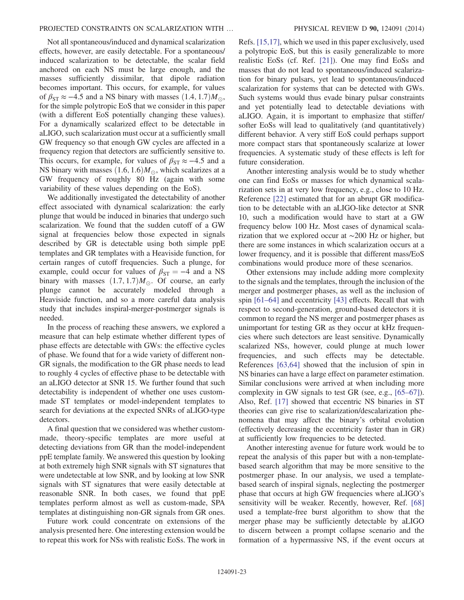Not all spontaneous/induced and dynamical scalarization effects, however, are easily detectable. For a spontaneous/ induced scalarization to be detectable, the scalar field anchored on each NS must be large enough, and the masses sufficiently dissimilar, that dipole radiation becomes important. This occurs, for example, for values of  $\beta_{ST} \approx -4.5$  and a NS binary with masses  $(1.4, 1.7)M_{\odot}$ , for the simple polytropic EoS that we consider in this paper (with a different EoS potentially changing these values). For a dynamically scalarized effect to be detectable in aLIGO, such scalarization must occur at a sufficiently small GW frequency so that enough GW cycles are affected in a frequency region that detectors are sufficiently sensitive to. This occurs, for example, for values of  $\beta_{ST} \approx -4.5$  and a NS binary with masses  $(1.6, 1.6)M_{\odot}$ , which scalarizes at a GW frequency of roughly 80 Hz (again with some variability of these values depending on the EoS).

We additionally investigated the detectability of another effect associated with dynamical scalarization: the early plunge that would be induced in binaries that undergo such scalarization. We found that the sudden cutoff of a GW signal at frequencies below those expected in signals described by GR is detectable using both simple ppE templates and GR templates with a Heaviside function, for certain ranges of cutoff frequencies. Such a plunge, for example, could occur for values of  $\beta_{ST} = -4$  and a NS binary with masses  $(1.7, 1.7)M_{\odot}$ . Of course, an early plunge cannot be accurately modeled through a Heaviside function, and so a more careful data analysis study that includes inspiral-merger-postmerger signals is needed.

In the process of reaching these answers, we explored a measure that can help estimate whether different types of phase effects are detectable with GWs: the effective cycles of phase. We found that for a wide variety of different non-GR signals, the modification to the GR phase needs to lead to roughly 4 cycles of effective phase to be detectable with an aLIGO detector at SNR 15. We further found that such detectability is independent of whether one uses custommade ST templates or model-independent templates to search for deviations at the expected SNRs of aLIGO-type detectors.

A final question that we considered was whether custommade, theory-specific templates are more useful at detecting deviations from GR than the model-independent ppE template family. We answered this question by looking at both extremely high SNR signals with ST signatures that were undetectable at low SNR, and by looking at low SNR signals with ST signatures that were easily detectable at reasonable SNR. In both cases, we found that ppE templates perform almost as well as custom-made, SPA templates at distinguishing non-GR signals from GR ones.

Future work could concentrate on extensions of the analysis presented here. One interesting extension would be to repeat this work for NSs with realistic EoSs. The work in Refs. [15,17], which we used in this paper exclusively, used a polytropic EoS, but this is easily generalizable to more realistic EoSs (cf. Ref. [21]). One may find EoSs and masses that do not lead to spontaneous/induced scalarization for binary pulsars, yet lead to spontaneous/induced scalarization for systems that can be detected with GWs. Such systems would thus evade binary pulsar constraints and yet potentially lead to detectable deviations with aLIGO. Again, it is important to emphasize that stiffer/ softer EoSs will lead to qualitatively (and quantitatively) different behavior. A very stiff EoS could perhaps support more compact stars that spontaneously scalarize at lower frequencies. A systematic study of these effects is left for future consideration.

Another interesting analysis would be to study whether one can find EoSs or masses for which dynamical scalarization sets in at very low frequency, e.g., close to 10 Hz. Reference [22] estimated that for an abrupt GR modification to be detectable with an aLIGO-like detector at SNR 10, such a modification would have to start at a GW frequency below 100 Hz. Most cases of dynamical scalarization that we explored occur at ∼200 Hz or higher, but there are some instances in which scalarization occurs at a lower frequency, and it is possible that different mass/EoS combinations would produce more of these scenarios.

Other extensions may include adding more complexity to the signals and the templates, through the inclusion of the merger and postmerger phases, as well as the inclusion of spin [61–64] and eccentricity [43] effects. Recall that with respect to second-generation, ground-based detectors it is common to regard the NS merger and postmerger phases as unimportant for testing GR as they occur at kHz frequencies where such detectors are least sensitive. Dynamically scalarized NSs, however, could plunge at much lower frequencies, and such effects may be detectable. References [63,64] showed that the inclusion of spin in NS binaries can have a large effect on parameter estimation. Similar conclusions were arrived at when including more complexity in GW signals to test GR (see, e.g., [65–67]). Also, Ref. [17] showed that eccentric NS binaries in ST theories can give rise to scalarization/descalarization phenomena that may affect the binary's orbital evolution (effectively decreasing the eccentricity faster than in GR) at sufficiently low frequencies to be detected.

Another interesting avenue for future work would be to repeat the analysis of this paper but with a non-templatebased search algorithm that may be more sensitive to the postmerger phase. In our analysis, we used a templatebased search of inspiral signals, neglecting the postmerger phase that occurs at high GW frequencies where aLIGO's sensitivity will be weaker. Recently, however, Ref. [68] used a template-free burst algorithm to show that the merger phase may be sufficiently detectable by aLIGO to discern between a prompt collapse scenario and the formation of a hypermassive NS, if the event occurs at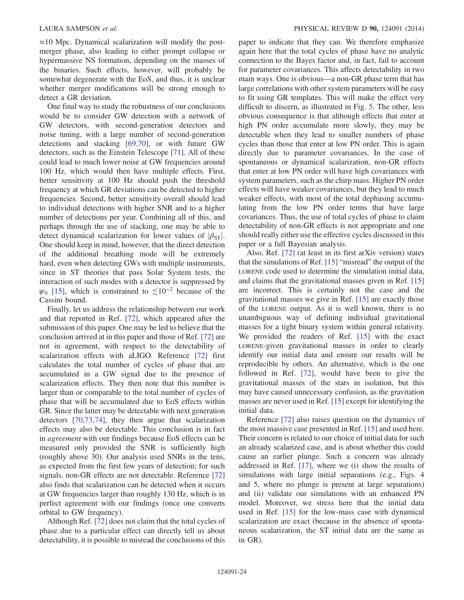$\approx$ 10 Mpc. Dynamical scalarization will modify the postmerger phase, also leading to either prompt collapse or hypermassive NS formation, depending on the masses of the binaries. Such effects, however, will probably be somewhat degenerate with the EoS, and thus, it is unclear whether merger modifications will be strong enough to detect a GR deviation.

One final way to study the robustness of our conclusions would be to consider GW detection with a network of GW detectors, with second-generation detectors and noise tuning, with a large number of second-generation detections and stacking [69,70], or with future GW detectors, such as the Einstein Telescope [71]. All of these could lead to much lower noise at GW frequencies around 100 Hz, which would then have multiple effects. First, better sensitivity at 100 Hz should push the threshold frequency at which GR deviations can be detected to higher frequencies. Second, better sensitivity overall should lead to individual detections with higher SNR and to a higher number of detections per year. Combining all of this, and perhaps through the use of stacking, one may be able to detect dynamical scalarization for lower values of  $|\beta_{ST}|$ . One should keep in mind, however, that the direct detection of the additional breathing mode will be extremely hard, even when detecting GWs with multiple instruments, since in ST theories that pass Solar System tests, the interaction of such modes with a detector is suppressed by  $\psi_0$  [15], which is constrained to  $\leq 10^{-2}$  because of the Cassini bound.

Finally, let us address the relationship between our work and that reported in Ref. [72], which appeared after the submission of this paper. One may be led to believe that the conclusion arrived at in this paper and those of Ref. [72] are not in agreement, with respect to the detectability of scalarization effects with aLIGO. Reference [72] first calculates the total number of cycles of phase that are accumulated in a GW signal due to the presence of scalarization effects. They then note that this number is larger than or comparable to the total number of cycles of phase that will be accumulated due to EoS effects within GR. Since the latter may be detectable with next generation detectors [70,73,74], they then argue that scalarization effects may also be detectable. This conclusion is in fact in agreement with our findings because EoS effects can be measured only provided the SNR is sufficiently high (roughly above 30). Our analysis used SNRs in the tens, as expected from the first few years of detection; for such signals, non-GR effects are not detectable. Reference [72] also finds that scalarization can be detected when it occurs at GW frequencies larger than roughly 130 Hz, which is in perfect agreement with our findings (once one converts orbital to GW frequency).

Although Ref. [72] does not claim that the total cycles of phase due to a particular effect can directly tell us about detectability, it is possible to misread the conclusions of this

paper to indicate that they can. We therefore emphasize again here that the total cycles of phase have no analytic connection to the Bayes factor and, in fact, fail to account for parameter covariances. This affects detectability in two main ways. One is obvious—a non-GR phase term that has large correlations with other system parameters will be easy to fit using GR templates. This will make the effect very difficult to discern, as illustrated in Fig. 5. The other, less obvious consequence is that although effects that enter at high PN order accumulate more slowly, they may be detectable when they lead to smaller numbers of phase cycles than those that enter at low PN order. This is again directly due to parameter covariances. In the case of spontaneous or dynamical scalarization, non-GR effects that enter at low PN order will have high covariances with system parameters, such as the chirp mass. Higher PN order effects will have weaker covariances, but they lead to much weaker effects, with most of the total dephasing accumulating from the low PN order terms that have large covariances. Thus, the use of total cycles of phase to claim detectability of non-GR effects is not appropriate and one should really either use the effective cycles discussed in this paper or a full Bayesian analysis.

Also, Ref. [72] (at least in its first arXiv version) states that the simulations of Ref. [15] "misread" the output of the LORENE code used to determine the simulation initial data, and claims that the gravitational masses given in Ref. [15] are incorrect. This is certainly not the case and the gravitational masses we give in Ref. [15] are exactly those of the LORENE output. As it is well known, there is no unambiguous way of defining individual gravitational masses for a tight binary system within general relativity. We provided the readers of Ref. [15] with the exact LORENE-given gravitational masses in order to clearly identify our initial data and ensure our results will be reproducible by others. An alternative, which is the one followed in Ref. [72], would have been to give the gravitational masses of the stars in isolation, but this may have caused unnecessary confusion, as the gravitation masses are never used in Ref. [15] except for identifying the initial data.

Reference [72] also raises question on the dynamics of the most massive case presented in Ref. [15] and used here. Their concern is related to our choice of initial data for such an already scalarized case, and is about whether this could cause an earlier plunge. Such a concern was already addressed in Ref. [17], where we (i) show the results of simulations with large initial separations (e.g., Figs. 4 and 5, where no plunge is present at large separations) and (ii) validate our simulations with an enhanced PN model. Moreover, we stress here that the initial data used in Ref. [15] for the low-mass case with dynamical scalarization are exact (because in the absence of spontaneous scalarization, the ST initial data are the same as in GR).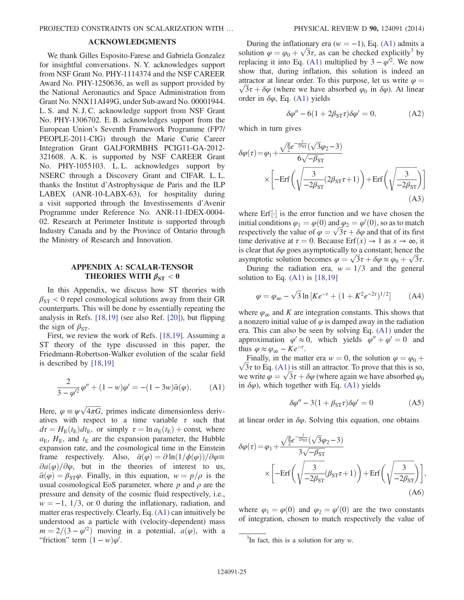### ACKNOWLEDGMENTS

We thank Gilles Esposito-Farese and Gabriela Gonzalez for insightful conversations. N. Y. acknowledges support from NSF Grant No. PHY-1114374 and the NSF CAREER Award No. PHY-1250636, as well as support provided by the National Aeronautics and Space Administration from Grant No. NNX11AI49G, under Sub-award No. 00001944. L. S. and N. J. C. acknowledge support from NSF Grant No. PHY-1306702. E. B. acknowledges support from the European Union's Seventh Framework Programme (FP7/ PEOPLE-2011-CIG) through the Marie Curie Career Integration Grant GALFORMBHS PCIG11-GA-2012- 321608. A. K. is supported by NSF CAREER Grant No. PHY-1055103. L.L. acknowledges support by NSERC through a Discovery Grant and CIFAR. L. L. thanks the Institut d'Astrophysique de Paris and the ILP LABEX (ANR-10-LABX-63), for hospitality during a visit supported through the Investissements d'Avenir Programme under Reference No. ANR-11-IDEX-0004- 02. Research at Perimeter Institute is supported through Industry Canada and by the Province of Ontario through the Ministry of Research and Innovation.

## APPENDIX A: SCALAR-TENSOR THEORIES WITH  $\beta_{ST} < 0$

In this Appendix, we discuss how ST theories with  $\beta_{ST}$  < 0 repel cosmological solutions away from their GR counterparts. This will be done by essentially repeating the analysis in Refs. [18,19] (see also Ref. [20]), but flipping the sign of  $\beta_{ST}$ .

First, we review the work of Refs. [18,19]. Assuming a ST theory of the type discussed in this paper, the Friedmann-Robertson-Walker evolution of the scalar field is described by [18,19]

$$
\frac{2}{3 - \varphi'^2} \varphi'' + (1 - w)\varphi' = -(1 - 3w)\bar{\alpha}(\varphi).
$$
 (A1)

Here,  $\varphi \equiv \psi \sqrt{4\pi G}$ , primes indicate dimensionless derivatives with respect to a time variable  $\tau$  such that  $d\tau = H_{\rm E}(t_{\rm E})dt_{\rm E}$ , or simply  $\tau = \ln a_{\rm E}(t_{\rm E}) + \text{const}$ , where  $a_{\rm E}$ ,  $H_{\rm E}$ , and  $t_{\rm E}$  are the expansion parameter, the Hubble expansion rate, and the cosmological time in the Einstein frame respectively. Also,  $\bar{\alpha}(\varphi) = \partial \ln(1/\phi(\varphi))/\partial \varphi \equiv$  $\frac{\partial a(\varphi)}{\partial \varphi}$ , but in the theories of interest to us,  $\bar{\alpha}(\varphi) = \beta_{ST}\varphi$ . Finally, in this equation,  $w = p/\rho$  is the usual cosmological EoS parameter, where  $p$  and  $\rho$  are the pressure and density of the cosmic fluid respectively, i.e.,  $w = -1$ , 1/3, or 0 during the inflationary, radiation, and matter eras respectively. Clearly, Eq. (A1) can intuitively be understood as a particle with (velocity-dependent) mass  $m = 2/(3 - \varphi^2)$  moving in a potential,  $a(\varphi)$ , with a "friction" term  $(1 - w)\varphi'$ .

During the inflationary era ( $w = -1$ ), Eq. (A1) admits a but the minimum of  $w = 1$ ,  $\Delta q$ ,  $\Delta r$  and  $\Delta a$ <br>solution  $\varphi = \varphi_0 + \sqrt{3}\tau$ , as can be checked explicitly<sup>3</sup> by replacing it into Eq. (A1) multiplied by  $3 - \varphi'^2$ . We now show that, during inflation, this solution is indeed an attractor at linear order. To this purpose, let us write  $\varphi =$ attractor at linear order. To this purpose, let us write  $\varphi = \sqrt{3}\tau + \delta\varphi$  (where we have absorbed  $\varphi_0$  in  $\delta\varphi$ ). At linear order in  $\delta\varphi$ , Eq. (A1) yields

$$
\delta \varphi'' - 6(1 + 2\beta_{\rm ST}\tau)\delta \varphi' = 0, \tag{A2}
$$

which in turn gives

$$
\delta\varphi(\tau) = \varphi_1 + \frac{\sqrt{\frac{\pi}{2}}e^{-\frac{3}{2\beta_{\text{ST}}}}(\sqrt{3}\varphi_2 - 3)}{6\sqrt{-\beta_{\text{ST}}}}\times \left[ -\text{Erf}\left(\sqrt{\frac{3}{-2\beta_{\text{ST}}}}(2\beta_{\text{ST}}\tau + 1)\right) + \text{Erf}\left(\sqrt{\frac{3}{-2\beta_{\text{ST}}}}\right) \right]
$$
\n(A3)

where  $\text{Erf}[\cdot]$  is the error function and we have chosen the initial conditions  $\varphi_1 = \varphi(0)$  and  $\varphi_2 = \varphi'(0)$ , so as to match respectively the value of  $\varphi = \sqrt{3\tau + \delta\varphi}$  and that of its first time derivative at  $\tau = 0$ . Because Erf $(x) \rightarrow 1$  as  $x \rightarrow \infty$ , it is clear that  $\delta\varphi$  goes asymptotically to a constant; hence the asymptotic solution becomes  $\varphi = \sqrt{3}\tau + \delta\varphi \approx \varphi_0 + \sqrt{3}\tau$ .

During the radiation era,  $w = 1/3$  and the general solution to Eq.  $(A1)$  is  $[18,19]$ 

$$
\varphi = \varphi_{\infty} - \sqrt{3} \ln \left[ K e^{-\tau} + (1 + K^2 e^{-2\tau})^{1/2} \right] \tag{A4}
$$

where  $\varphi_{\infty}$  and K are integration constants. This shows that a nonzero initial value of  $\varphi$  is damped away in the radiation era. This can also be seen by solving Eq. (A1) under the approximation  $\varphi' \approx 0$ , which yields  $\varphi'' + \varphi' = 0$  and thus  $\varphi \approx \varphi_{\infty} - Ke^{-\tau}$ .

Finally, in the matter cla  $w = 0$ , the solution  $\psi = \psi_0 + \sqrt{3}\tau$  to Eq. (A1) is still an attractor. To prove that this is so, Finally, in the matter era  $w = 0$ , the solution  $\varphi = \varphi_0 + \varphi_0$ we write  $\varphi = \sqrt{3}\tau + \delta\varphi$  (where again we have absorbed  $\varphi_0$ in  $\delta\varphi$ ), which together with Eq. (A1) yields

$$
\delta \varphi'' - 3(1 + \beta_{\rm ST} \tau) \delta \varphi' = 0 \tag{A5}
$$

at linear order in  $\delta \varphi$ . Solving this equation, one obtains

$$
\delta\varphi(\tau) = \varphi_1 + \frac{\sqrt{\frac{\pi}{2}}e^{-\frac{3}{2\beta_{\text{ST}}}}(\sqrt{3}\varphi_2 - 3)}{3\sqrt{-\beta_{\text{ST}}}}\times \left[ -\text{Erf}\left(\sqrt{\frac{3}{-2\beta_{\text{ST}}}}(\beta_{\text{ST}}\tau + 1)\right) + \text{Erf}\left(\sqrt{\frac{3}{-2\beta_{\text{ST}}}}\right) \right],\tag{A6}
$$

where  $\varphi_1 = \varphi(0)$  and  $\varphi_2 = \varphi'(0)$  are the two constants of integration, chosen to match respectively the value of

 $3$ In fact, this is a solution for any w.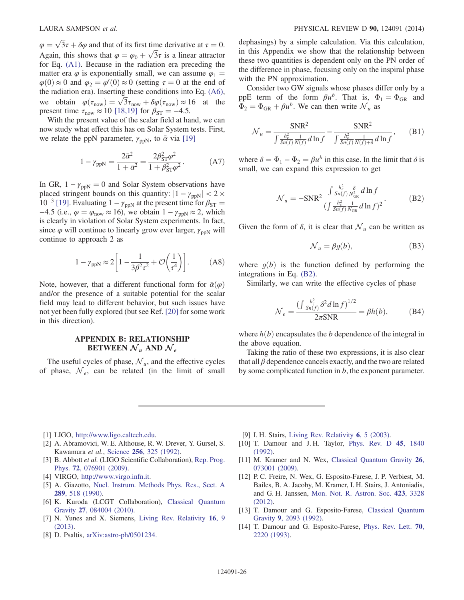$\varphi = \sqrt{3}\tau + \delta\varphi$  and that of its first time derivative at  $\tau = 0$ . Again, this shows that  $\varphi = \varphi_0 + \sqrt{3}\tau$  is a linear attractor for Eq. (A1). Because in the radiation era preceding the matter era  $\varphi$  is exponentially small, we can assume  $\varphi_1 =$  $\varphi(0) \approx 0$  and  $\varphi_2 = \varphi'(0) \approx 0$  (setting  $\tau = 0$  at the end of the radiation era). Inserting these conditions into Eq. (A6), we obtain  $\varphi(\tau_{\text{now}}) = \sqrt{3}\tau_{\text{now}} + \delta\varphi(\tau_{\text{now}}) \approx 16$  at the present time  $\tau_{\text{now}} \approx 10$  [18,19] for  $\beta_{\text{ST}} = -4.5$ .

With the present value of the scalar field at hand, we can now study what effect this has on Solar System tests. First, we relate the ppN parameter,  $\gamma_{\text{ppN}}$ , to  $\bar{\alpha}$  via [19]

$$
1 - \gamma_{\rm ppN} = \frac{2\bar{\alpha}^2}{1 + \bar{\alpha}^2} = \frac{2\beta_{\rm ST}^2 \varphi^2}{1 + \beta_{\rm ST}^2 \varphi^2}.
$$
 (A7)

In GR,  $1 - \gamma_{\text{DDN}} = 0$  and Solar System observations have placed stringent bounds on this quantity:  $|1 - \gamma_{\text{ppN}}| < 2 \times$ 10<sup>-3</sup> [19]. Evaluating 1 –  $\gamma_{\rm ppN}$  at the present time for  $\beta_{\rm ST}$  = −4.5 (i.e.,  $\varphi = \varphi_{\text{now}} \approx 16$ ), we obtain  $1 - \gamma_{\text{ppN}} \approx 2$ , which is clearly in violation of Solar System experiments. In fact, since  $\varphi$  will continue to linearly grow ever larger,  $\gamma_{\text{ppN}}$  will continue to approach 2 as

$$
1 - \gamma_{\rm ppN} \approx 2 \left[ 1 - \frac{1}{3\beta^2 \tau^2} + \mathcal{O}\left(\frac{1}{\tau^4}\right) \right].
$$
 (A8)

Note, however, that a different functional form for  $\bar{\alpha}(\varphi)$ and/or the presence of a suitable potential for the scalar field may lead to different behavior, but such issues have not yet been fully explored (but see Ref. [20] for some work in this direction).

## APPENDIX B: RELATIONSHIP BETWEEN  $\mathcal{N}_u$  AND  $\mathcal{N}_e$

The useful cycles of phase,  $\mathcal{N}_u$ , and the effective cycles of phase,  $\mathcal{N}_{e}$ , can be related (in the limit of small dephasings) by a simple calculation. Via this calculation, in this Appendix we show that the relationship between these two quantities is dependent only on the PN order of the difference in phase, focusing only on the inspiral phase with the PN approximation.

Consider two GW signals whose phases differ only by a ppE term of the form  $\beta u^b$ . That is,  $\Phi_1 = \Phi_{GR}$  and  $\Phi_2 = \Phi_{GR} + \beta u^b$ . We can then write  $\mathcal{N}_u$  as

$$
\mathcal{N}_u = \frac{\text{SNR}^2}{\int \frac{h_c^2}{\text{Sn}(f)} \frac{1}{N(f)} d\ln f} - \frac{\text{SNR}^2}{\int \frac{h_c^2}{\text{Sn}(f)} \frac{1}{N(f)+\delta} d\ln f}, \quad \text{(B1)}
$$

where  $\delta = \Phi_1 - \Phi_2 = \beta u^b$  in this case. In the limit that  $\delta$  is small, we can expand this expression to get

$$
\mathcal{N}_u = -\text{SNR}^2 \frac{\int \frac{h_c^2}{S n(f)} \frac{\delta}{N_{\text{GR}}^2} d\ln f}{\left(\int \frac{h_c^2}{S n(f)} \frac{1}{N_{\text{GR}}} d\ln f\right)^2}.
$$
 (B2)

Given the form of  $\delta$ , it is clear that  $\mathcal{N}_u$  can be written as

$$
\mathcal{N}_u = \beta g(b),\tag{B3}
$$

where  $g(b)$  is the function defined by performing the integrations in Eq. (B2).

Similarly, we can write the effective cycles of phase

$$
\mathcal{N}_e = \frac{\left(\int \frac{h_c^2}{S n(f)} \delta^2 d \ln f\right)^{1/2}}{2\pi \text{SNR}} = \beta h(b),\tag{B4}
$$

where  $h(b)$  encapsulates the b dependence of the integral in the above equation.

Taking the ratio of these two expressions, it is also clear that all  $\beta$  dependence cancels exactly, and the two are related by some complicated function in  $b$ , the exponent parameter.

- [1] LIGO, <http://www.ligo.caltech.edu>.
- [2] A. Abramovici, W. E. Althouse, R. W. Drever, Y. Gursel, S. Kawamura et al., Science 256[, 325 \(1992\)](http://dx.doi.org/10.1126/science.256.5055.325).
- [3] B. Abbott et al. (LIGO Scientific Collaboration), [Rep. Prog.](http://dx.doi.org/10.1088/0034-4885/72/7/076901) Phys. 72[, 076901 \(2009\)](http://dx.doi.org/10.1088/0034-4885/72/7/076901).
- [4] VIRGO, [http://www.virgo.infn.it.](http://www.virgo.infn.it)
- [5] A. Giazotto, [Nucl. Instrum. Methods Phys. Res., Sect. A](http://dx.doi.org/10.1016/0168-9002(90)91525-G) 289[, 518 \(1990\)](http://dx.doi.org/10.1016/0168-9002(90)91525-G).
- [6] K. Kuroda (LCGT Collaboration), [Classical Quantum](http://dx.doi.org/10.1088/0264-9381/27/8/084004) Gravity 27[, 084004 \(2010\).](http://dx.doi.org/10.1088/0264-9381/27/8/084004)
- [7] N. Yunes and X. Siemens, [Living Rev. Relativity](http://dx.doi.org/10.12942/lrr-2013-9) 16, 9 [\(2013\).](http://dx.doi.org/10.12942/lrr-2013-9)
- [8] D. Psaltis, [arXiv:astro-ph/0501234.](http://arXiv.org/abs/astro-ph/0501234)
- [9] I. H. Stairs, [Living Rev. Relativity](http://dx.doi.org/10.12942/lrr-2003-5) 6, 5 (2003).
- [10] T. Damour and J. H. Taylor, [Phys. Rev. D](http://dx.doi.org/10.1103/PhysRevD.45.1840) 45, 1840 [\(1992\).](http://dx.doi.org/10.1103/PhysRevD.45.1840)
- [11] M. Kramer and N. Wex, [Classical Quantum Gravity](http://dx.doi.org/10.1088/0264-9381/26/7/073001) 26, [073001 \(2009\).](http://dx.doi.org/10.1088/0264-9381/26/7/073001)
- [12] P. C. Freire, N. Wex, G. Esposito-Farese, J. P. Verbiest, M. Bailes, B. A. Jacoby, M. Kramer, I. H. Stairs, J. Antoniadis, and G. H. Janssen, [Mon. Not. R. Astron. Soc.](http://dx.doi.org/10.1111/j.1365-2966.2012.21253.x) 423, 3328 [\(2012\).](http://dx.doi.org/10.1111/j.1365-2966.2012.21253.x)
- [13] T. Damour and G. Esposito-Farese, [Classical Quantum](http://dx.doi.org/10.1088/0264-9381/9/9/015) Gravity 9[, 2093 \(1992\).](http://dx.doi.org/10.1088/0264-9381/9/9/015)
- [14] T. Damour and G. Esposito-Farese, [Phys. Rev. Lett.](http://dx.doi.org/10.1103/PhysRevLett.70.2220) 70, [2220 \(1993\)](http://dx.doi.org/10.1103/PhysRevLett.70.2220).